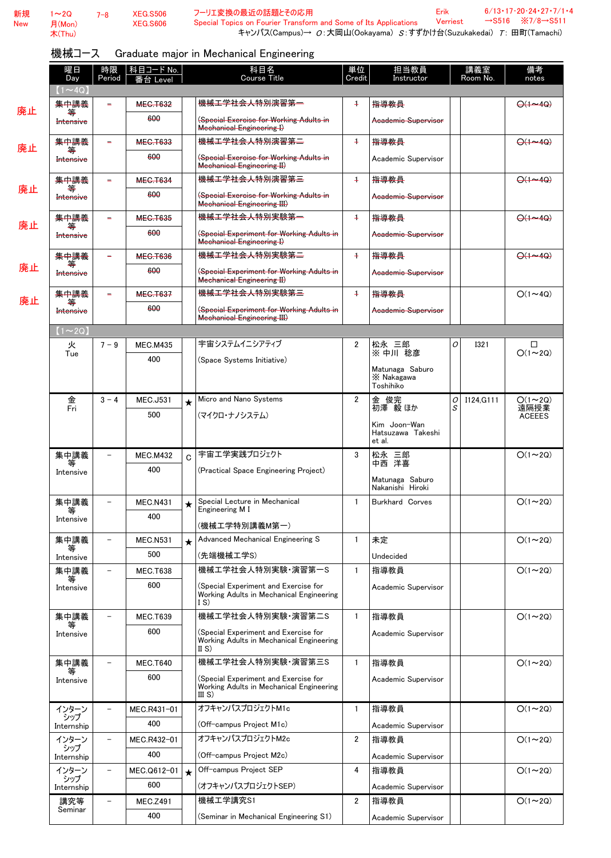| 新規         | $1 - 2Q$             | $7 - 8$                  | <b>XEG.S506</b> |         | フーリエ変換の最近の話題とその応用                                                                                                                      |                | Erik                                        |   | $\rightarrow$ S516 | $6/13 \cdot 17 \cdot 20 \cdot 24 \cdot 27 \cdot 7/1 \cdot$<br>$\overline{3}/7/8 \rightarrow$ S511 |
|------------|----------------------|--------------------------|-----------------|---------|----------------------------------------------------------------------------------------------------------------------------------------|----------------|---------------------------------------------|---|--------------------|---------------------------------------------------------------------------------------------------|
| <b>New</b> | 月(Mon)<br>木(Thu)     |                          | <b>XEG.S606</b> |         | Special Topics on Fourier Transform and Some of Its Applications<br>キャンパス(Campus)→ O:大岡山(Ookayama) S:すずかけ台(Suzukakedai) T: 田町(Tamachi) |                | <b>Verriest</b>                             |   |                    |                                                                                                   |
|            | 機械コース                |                          |                 |         | Graduate major in Mechanical Engineering                                                                                               |                |                                             |   |                    |                                                                                                   |
|            | 曜日                   | 時限                       | 科目コード No.       |         | 科目名                                                                                                                                    | 単位             | 担当教員                                        |   | 講義室                | 備考                                                                                                |
|            | Day<br>$(1 \sim 4Q)$ | Period                   | 番台 Level        |         | Course Title                                                                                                                           | Credit         | Instructor                                  |   | Room No.           | notes                                                                                             |
|            | 集中講義                 |                          | <b>MEG.T632</b> |         | <del>機械工学社会人特別演習第一</del>                                                                                                               | $\ddot{}$      | 指導教員                                        |   |                    | $\Theta$ (1~40)                                                                                   |
| 廃止         | Intensive            |                          | 600             |         | (Special Exercise for Working Adults in<br><b>Mechanical Engineering I)</b>                                                            |                | Academic Supervisor                         |   |                    |                                                                                                   |
| 廃止         | 集中講義                 |                          | <b>MEC.T633</b> |         | 機械工学社会人特別演習第二                                                                                                                          | $+$            | 指導教員                                        |   |                    | $\Theta$ (1~40)                                                                                   |
|            | Intensive            |                          | 600             |         | (Special Exercise for Working Adults in<br><b>Mechanical Engineering II)</b>                                                           |                | Academic Supervisor                         |   |                    |                                                                                                   |
|            | 集中講義                 |                          | <b>MEC.T634</b> |         | <del>機械工学社会人特別演習第三</del>                                                                                                               | $\ddot{}$      | 指導教員                                        |   |                    | $\Theta(1 - 4Q)$                                                                                  |
| 廃止         | Intensive            |                          | 600             |         | (Special Exercise for Working Adults in<br><b>Mechanical Engineering III)</b>                                                          |                | Academic Supervisor                         |   |                    |                                                                                                   |
|            | 集中講義                 |                          | <b>MEC.T635</b> |         | 機械工学社会人特別実験第一                                                                                                                          | $+$            | 指導教員                                        |   |                    | $\Theta$ (1~40)                                                                                   |
| 廃止         | Intensive            |                          | 600             |         | (Special Experiment for Working Adults in<br><b>Mechanical Engineering I)</b>                                                          |                | Academic Supervisor                         |   |                    |                                                                                                   |
|            | 集中講義                 | ÷                        | <b>MEC.T636</b> |         | 機 <del>械工学社会人特別実験第二</del>                                                                                                              | $+$            | 指導教員                                        |   |                    | $\Theta$ (1~40)                                                                                   |
| 廃止         | Intensive            |                          | 600             |         | (Special Experiment for Working Adults in<br><b>Mechanical Engineering II)</b>                                                         |                | Academic Supervisor                         |   |                    |                                                                                                   |
| 廃止         | 集中講義                 |                          | <b>MEG.T637</b> |         | 機械工学社会人特別実験第三                                                                                                                          | $\ddot{}$      | 指導教員                                        |   |                    | $O(1\sim 4Q)$                                                                                     |
|            | Intensive            |                          | 600             |         | (Special Experiment for Working Adults in<br><b>Mechanical Engineering III)</b>                                                        |                | Academic Supervisor                         |   |                    |                                                                                                   |
|            | $(1\sim 2Q)$         |                          |                 |         |                                                                                                                                        |                |                                             |   |                    |                                                                                                   |
|            | 火<br>Tue             | $7 - 9$                  | <b>MEC.M435</b> |         | 宇宙システムイニシアティブ                                                                                                                          | $\overline{2}$ | 松永 三郎<br>※ 中川 稔彦                            | O | <b>I321</b>        | ◻<br>$O(1\sim 2Q)$                                                                                |
|            |                      |                          | 400             |         | (Space Systems Initiative)                                                                                                             |                | Matunaga Saburo<br>X Nakagawa<br>Toshihiko  |   |                    |                                                                                                   |
|            | 金                    | $3 - 4$                  | <b>MEC.J531</b> |         | Micro and Nano Systems                                                                                                                 | $\overline{2}$ |                                             | 0 | I124.G111          | $Q(1 \sim 2Q)$                                                                                    |
|            | Fri                  |                          | 500             |         | (マイクロ・ナノシステム)                                                                                                                          |                | 金 俊完<br>初澤 毅ほか                              | S |                    | 遠隔授業<br><b>ACEEES</b>                                                                             |
|            |                      |                          |                 |         |                                                                                                                                        |                | Kim Joon-Wan<br>Hatsuzawa Takeshi<br>et al. |   |                    |                                                                                                   |
|            | 集中講義                 | $\overline{\phantom{0}}$ | <b>MEC.M432</b> | Ć       | 宇宙工学実践プロジェクト                                                                                                                           | 3              | 松永 三郎<br>中西 洋喜                              |   |                    | $O(1\sim 2Q)$                                                                                     |
|            | Intensive            |                          | 400             |         | (Practical Space Engineering Project)                                                                                                  |                | Matunaga Saburo                             |   |                    |                                                                                                   |
|            |                      |                          | <b>MEC.N431</b> |         | Special Lecture in Mechanical                                                                                                          | $\mathbf{1}$   | Nakanishi Hiroki<br>Burkhard Corves         |   |                    | $O(1\sim 2Q)$                                                                                     |
|            | 集中講義                 |                          | 400             |         | Engineering M I                                                                                                                        |                |                                             |   |                    |                                                                                                   |
|            | Intensive            |                          |                 |         | (機械工学特別講義M第一)                                                                                                                          |                |                                             |   |                    |                                                                                                   |
|            | 集中講義<br>等            | ÷                        | <b>MEC.N531</b> | $\star$ | Advanced Mechanical Engineering S                                                                                                      | $\mathbf{1}$   | 未定                                          |   |                    | $O(1\sim 2Q)$                                                                                     |
|            | Intensive            |                          | 500             |         | (先端機械工学S)                                                                                                                              |                | Undecided                                   |   |                    |                                                                                                   |
|            | 集中講義<br>等            | $\overline{\phantom{0}}$ | <b>MEC.T638</b> |         | 機械工学社会人特別実験·演習第一S                                                                                                                      | $\mathbf{1}$   | 指導教員                                        |   |                    | $O(1\sim 2Q)$                                                                                     |
|            | Intensive            |                          | 600             |         | (Special Experiment and Exercise for<br>Working Adults in Mechanical Engineering<br>$ S\rangle$                                        |                | Academic Supervisor                         |   |                    |                                                                                                   |
|            | 集中講義                 |                          | <b>MEC.T639</b> |         | 機械工学社会人特別実験·演習第二S                                                                                                                      | $\mathbf{1}$   | 指導教員                                        |   |                    | $O(1\sim 2Q)$                                                                                     |
|            | Intensive            |                          | 600             |         | (Special Experiment and Exercise for<br>Working Adults in Mechanical Engineering                                                       |                | Academic Supervisor                         |   |                    |                                                                                                   |
|            | 集中講義                 |                          | <b>MEC.T640</b> |         | II $S$ )<br>機械工学社会人特別実験·演習第三S                                                                                                          | $\mathbf{1}$   | 指導教員                                        |   |                    | $O(1\sim 2Q)$                                                                                     |
|            | 等                    |                          | 600             |         | (Special Experiment and Exercise for                                                                                                   |                | Academic Supervisor                         |   |                    |                                                                                                   |
|            | Intensive            |                          |                 |         | Working Adults in Mechanical Engineering<br>III S)                                                                                     |                |                                             |   |                    |                                                                                                   |
|            | インターン                |                          | MEC.R431-01     |         | オフキャンパスプロジェクトM1c                                                                                                                       | $\mathbf{1}$   | 指導教員                                        |   |                    | $O(1\sim 2Q)$                                                                                     |
|            | シップ<br>Internship    |                          | 400             |         | (Off-campus Project M1c)                                                                                                               |                | Academic Supervisor                         |   |                    |                                                                                                   |
|            | インターン<br>シップ         | -                        | MEC.R432-01     |         | オフキャンパスプロジェクトM2c                                                                                                                       | $\overline{2}$ | 指導教員                                        |   |                    | $O(1\sim 2Q)$                                                                                     |
|            | Internship           |                          | 400             |         | (Off-campus Project M2c)                                                                                                               |                | Academic Supervisor                         |   |                    |                                                                                                   |
|            | インターン<br>シップ         |                          | MEC.Q612-01     | $\star$ | Off-campus Project SEP                                                                                                                 | 4              | 指導教員                                        |   |                    | $O(1\sim 2Q)$                                                                                     |
|            | Internship           |                          | 600             |         | (オフキャンパスプロジェクトSEP)                                                                                                                     |                | Academic Supervisor                         |   |                    |                                                                                                   |
|            | 講究等<br>Seminar       |                          | <b>MEC.Z491</b> |         | 機械工学講究S1                                                                                                                               | $\overline{2}$ | 指導教員                                        |   |                    | $O(1\sim 2Q)$                                                                                     |
|            |                      |                          | 400             |         | (Seminar in Mechanical Engineering S1)                                                                                                 |                | Academic Supervisor                         |   |                    |                                                                                                   |

Erik

6/13・17・20・24・27・7/1・4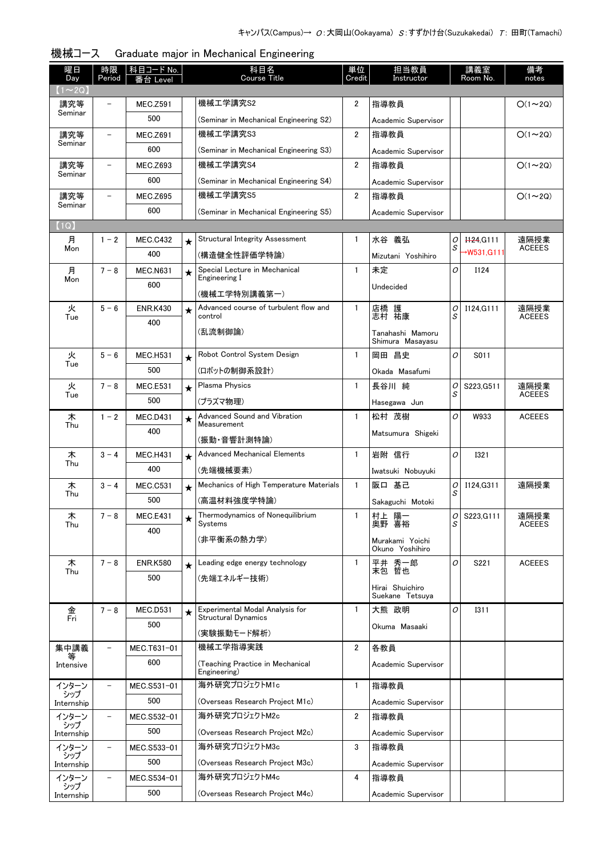| 曜日<br>Day    | 時限<br>Period             | 科目コード No.<br>台 Level |         | 科目名<br>Course Title                                           | 単位<br>Credit   | 担当教員<br>Instructor                   |        | 講義室<br>Room No.      | 備考<br>notes           |
|--------------|--------------------------|----------------------|---------|---------------------------------------------------------------|----------------|--------------------------------------|--------|----------------------|-----------------------|
| $1 \sim 2Q$  |                          |                      |         |                                                               |                |                                      |        |                      |                       |
| 講究等          |                          | <b>MEC.Z591</b>      |         | 機械工学講究S2                                                      | 2              | 指導教員                                 |        |                      | $O(1\sim 2Q)$         |
| Seminar      |                          | 500                  |         | (Seminar in Mechanical Engineering S2)                        |                | Academic Supervisor                  |        |                      |                       |
| 講究等          |                          | <b>MEC.Z691</b>      |         | 機械工学講究S3                                                      | $\overline{2}$ | 指導教員                                 |        |                      | $O(1\sim 2Q)$         |
| Seminar      |                          | 600                  |         | (Seminar in Mechanical Engineering S3)                        |                | Academic Supervisor                  |        |                      |                       |
| 講究等          |                          | <b>MEC.Z693</b>      |         | 機械工学講究S4                                                      | $\overline{2}$ | 指導教員                                 |        |                      | $O(1\sim 2Q)$         |
| Seminar      |                          | 600                  |         | (Seminar in Mechanical Engineering S4)                        |                | Academic Supervisor                  |        |                      |                       |
| 講究等          |                          | <b>MEC.Z695</b>      |         | 機械工学講究S5                                                      | $\overline{2}$ | 指導教員                                 |        |                      | $O(1\sim 2Q)$         |
| Seminar      |                          | 600                  |         | (Seminar in Mechanical Engineering S5)                        |                | Academic Supervisor                  |        |                      |                       |
| (1Q)         |                          |                      |         |                                                               |                |                                      |        |                      |                       |
| 月<br>Mon     | $1 - 2$                  | <b>MEC.C432</b>      | $\star$ | <b>Structural Integrity Assessment</b>                        | $\mathbf{1}$   | 水谷 義弘                                | 0<br>S | H <sub>24</sub> G111 | 遠隔授業<br><b>ACEEES</b> |
|              |                          | 400                  |         | (構造健全性評価学特論)                                                  |                | Mizutani Yoshihiro                   |        | →W531.G111           |                       |
| 月<br>Mon     | $7 - 8$                  | <b>MEC.N631</b>      | $\star$ | Special Lecture in Mechanical<br>Engineering I                | $\mathbf{1}$   | 未定                                   | 0      | I124                 |                       |
|              |                          | 600                  |         | (機械工学特別講義第一)                                                  |                | Undecided                            |        |                      |                       |
| 火            | $5 - 6$                  | <b>ENR.K430</b>      | $\star$ | Advanced course of turbulent flow and                         | $\mathbf{1}$   |                                      | 0      | I124.G111            | 遠隔授業                  |
| Tue          |                          | 400                  |         | control                                                       |                | 店橋 護<br>志村 祐康                        | S      |                      | <b>ACEEES</b>         |
|              |                          |                      |         | (乱流制御論)                                                       |                | Tanahashi Mamoru<br>Shimura Masayasu |        |                      |                       |
| 火            | $5 - 6$                  | <b>MEC.H531</b>      | $\star$ | Robot Control System Design                                   | $\mathbf{1}$   | 岡田 昌史                                | O      | S011                 |                       |
| Tue          |                          | 500                  |         | (ロボットの制御系設計)                                                  |                | Okada Masafumi                       |        |                      |                       |
| 火            | $7 - 8$                  | <b>MEC.E531</b>      | $\star$ | <b>Plasma Physics</b>                                         | $\mathbf{1}$   | 長谷川 純                                | 0      | S223, G511           | 遠隔授業                  |
| Tue          |                          | 500                  |         | (プラズマ物理)                                                      |                | Hasegawa Jun                         | S      |                      | <b>ACEEES</b>         |
| 木            | $1 - 2$                  | <b>MEC.D431</b>      | $\star$ | <b>Advanced Sound and Vibration</b>                           | $\mathbf{1}$   | 松村 茂樹                                | O      | W933                 | <b>ACEEES</b>         |
| Thu          |                          | 400                  |         | Measurement                                                   |                | Matsumura Shigeki                    |        |                      |                       |
|              |                          |                      |         | (振動・音響計測特論)                                                   |                |                                      |        |                      |                       |
| 木<br>Thu     | $3 - 4$                  | <b>MEC.H431</b>      | $\star$ | <b>Advanced Mechanical Elements</b>                           | $\mathbf{1}$   | 岩附 信行                                | 0      | <b>I321</b>          |                       |
|              |                          | 400                  |         | (先端機械要素)                                                      |                | Iwatsuki Nobuyuki                    |        |                      |                       |
| 木<br>Thu     | $3 - 4$                  | <b>MEC.C531</b>      | $\star$ | Mechanics of High Temperature Materials                       | $\mathbf{1}$   | 阪口 基己                                | 0<br>S | I124.G311            | 遠隔授業                  |
|              |                          | 500                  |         | (高温材料強度学特論)                                                   |                | Sakaguchi Motoki                     |        |                      |                       |
| 木<br>Thu     | $7 - 8$                  | <b>MEC.E431</b>      |         | Thermodynamics of Nonequilibrium<br>Systems                   | 1              | 村上 陽一<br>奥野 喜裕                       | S      | $O$ S223, G111       | 遠隔授業<br><b>ACEEES</b> |
|              |                          | 400                  |         | (非平衡系の熱力学)                                                    |                | Murakami Yoichi                      |        |                      |                       |
|              |                          |                      |         |                                                               |                | Okuno Yoshihiro                      |        |                      |                       |
| 木<br>Thu     | $7 - 8$                  | <b>ENR.K580</b>      | $\star$ | Leading edge energy technology                                | $\mathbf{1}$   | 平井 秀一郎<br>末包 哲也                      | O      | S221                 | <b>ACEEES</b>         |
|              |                          | 500                  |         | (先端エネルギー技術)                                                   |                | Hirai Shuichiro                      |        |                      |                       |
|              |                          |                      |         |                                                               |                | Suekane Tetsuva                      |        |                      |                       |
| 金<br>Fri     | $7 - 8$                  | MEC.D531             | $\star$ | Experimental Modal Analysis for<br><b>Structural Dynamics</b> | $\mathbf{1}$   | 大熊 政明                                | 0      | <b>I311</b>          |                       |
|              |                          | 500                  |         | (実験振動モード解析)                                                   |                | Okuma Masaaki                        |        |                      |                       |
| 集中講義         |                          | MEC.T631-01          |         | 機械工学指導実践                                                      | $\overline{2}$ | 各教員                                  |        |                      |                       |
|              |                          | 600                  |         | (Teaching Practice in Mechanical                              |                | Academic Supervisor                  |        |                      |                       |
| Intensive    |                          |                      |         | Engineering)                                                  |                |                                      |        |                      |                       |
| インターン<br>シップ |                          | MEC.S531-01          |         | 海外研究プロジェクトM1c                                                 | 1              | 指導教員                                 |        |                      |                       |
| Internship   |                          | 500                  |         | (Overseas Research Project M1c)                               |                | Academic Supervisor                  |        |                      |                       |
| インターン<br>シップ | $\overline{\phantom{0}}$ | MEC.S532-01          |         | 海外研究プロジェクトM2c                                                 | $\overline{2}$ | 指導教員                                 |        |                      |                       |
| Internship   |                          | 500                  |         | (Overseas Research Project M2c)                               |                | Academic Supervisor                  |        |                      |                       |
| インターン<br>シップ | $\overline{\phantom{0}}$ | MEC.S533-01          |         | 海外研究プロジェクトM3c                                                 | 3              | 指導教員                                 |        |                      |                       |
| Internship   |                          | 500                  |         | (Overseas Research Project M3c)                               |                | Academic Supervisor                  |        |                      |                       |
| インターン<br>シップ |                          | MEC.S534-01          |         | 海外研究プロジェクトM4c                                                 | 4              | 指導教員                                 |        |                      |                       |
| Internship   |                          | 500                  |         | (Overseas Research Project M4c)                               |                | Academic Supervisor                  |        |                      |                       |

#### 機械コース Graduate major in Mechanical Engineering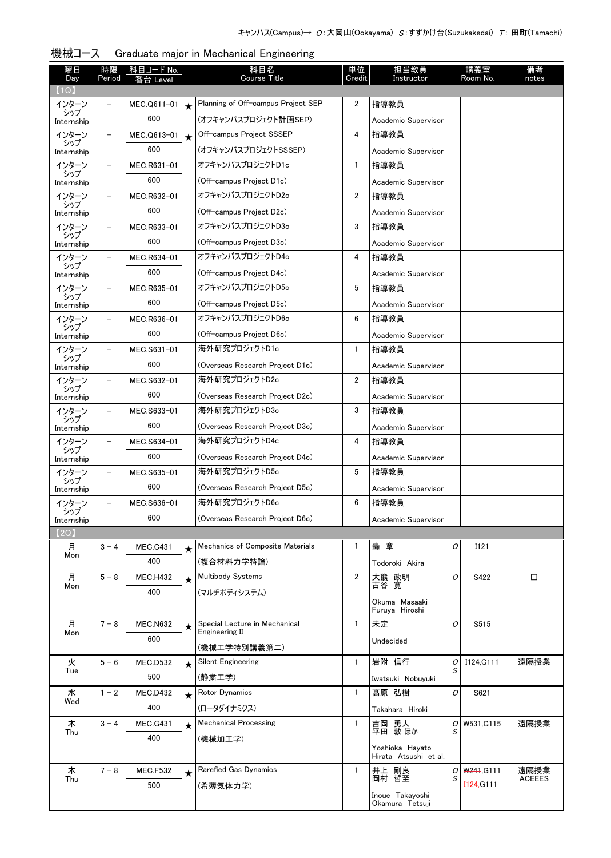| 曜日<br>Day           | 時限<br>Period             | <u>科目コード No.</u><br>番台 Level |         | 科目名<br><b>Course Title</b>         | 単位<br>Credit   | 担当教員<br>Instructor                       |        | 講義室<br>Room No. | 備考<br>notes   |
|---------------------|--------------------------|------------------------------|---------|------------------------------------|----------------|------------------------------------------|--------|-----------------|---------------|
| (1Q)                |                          |                              |         |                                    |                |                                          |        |                 |               |
| インターン<br>シップ        |                          | MEC.Q611-01                  |         | Planning of Off-campus Project SEP | 2              | 指導教員                                     |        |                 |               |
| Internship          |                          | 600                          |         | (オフキャンパスプロジェクト計画SEP)               |                | Academic Supervisor                      |        |                 |               |
| インターン<br>シップ        | $\overline{\phantom{0}}$ | MEC.Q613-01                  | $\star$ | Off-campus Project SSSEP           | 4              | 指導教員                                     |        |                 |               |
| Internship          |                          | 600                          |         | (オフキャンパスプロジェクトSSSEP)               |                | Academic Supervisor                      |        |                 |               |
| インターン               | $\overline{\phantom{0}}$ | MEC.R631-01                  |         | オフキャンパスプロジェクトD1c                   | 1              | 指導教員                                     |        |                 |               |
| シップ<br>Internship   |                          | 600                          |         | (Off-campus Project D1c)           |                | Academic Supervisor                      |        |                 |               |
| インターン               |                          | MEC.R632-01                  |         | オフキャンパスプロジェクトD2c                   | $\overline{2}$ | 指導教員                                     |        |                 |               |
| シップ<br>Internship   |                          | 600                          |         | (Off-campus Project D2c)           |                | Academic Supervisor                      |        |                 |               |
| インターン               |                          | MEC.R633-01                  |         | オフキャンパスプロジェクトD3c                   | 3              | 指導教員                                     |        |                 |               |
| シップ<br>Internship   |                          | 600                          |         | (Off-campus Project D3c)           |                | Academic Supervisor                      |        |                 |               |
| インターン               | $\overline{\phantom{0}}$ | MEC.R634-01                  |         | オフキャンパスプロジェクトD4c                   | 4              | 指導教員                                     |        |                 |               |
| シップ<br>Internship   |                          | 600                          |         | (Off-campus Project D4c)           |                | Academic Supervisor                      |        |                 |               |
| インターン               | $\overline{\phantom{0}}$ | MEC.R635-01                  |         | オフキャンパスプロジェクトD5c                   | 5              | 指導教員                                     |        |                 |               |
| シップ<br>Internship   |                          | 600                          |         | (Off-campus Project D5c)           |                | Academic Supervisor                      |        |                 |               |
| インターン               | $\overline{\phantom{0}}$ | MEC.R636-01                  |         | オフキャンパスプロジェクトD6c                   | 6              | 指導教員                                     |        |                 |               |
| シップ<br>Internship   |                          | 600                          |         | (Off-campus Project D6c)           |                | Academic Supervisor                      |        |                 |               |
| インターン               | $\overline{\phantom{0}}$ | MEC.S631-01                  |         | 海外研究プロジェクトD1c                      | $\mathbf{1}$   | 指導教員                                     |        |                 |               |
| シップ<br>Internship   |                          | 600                          |         | (Overseas Research Project D1c)    |                | Academic Supervisor                      |        |                 |               |
| インターン               | $\overline{\phantom{0}}$ | MEC.S632-01                  |         | 海外研究プロジェクトD2c                      | 2              | 指導教員                                     |        |                 |               |
| シップ<br>Internship   |                          | 600                          |         | (Overseas Research Project D2c)    |                | Academic Supervisor                      |        |                 |               |
| インターン               | $\overline{\phantom{0}}$ | MEC.S633-01                  |         | 海外研究プロジェクトD3c                      | 3              | 指導教員                                     |        |                 |               |
| シップ<br>Internship   |                          | 600                          |         | (Overseas Research Project D3c)    |                | Academic Supervisor                      |        |                 |               |
| インターン               | $\overline{\phantom{0}}$ | MEC.S634-01                  |         | 海外研究プロジェクトD4c                      | 4              | 指導教員                                     |        |                 |               |
| シップ<br>Internship   |                          | 600                          |         | (Overseas Research Project D4c)    |                | Academic Supervisor                      |        |                 |               |
| インターン               | $\overline{\phantom{0}}$ | MEC.S635-01                  |         | 海外研究プロジェクトD5c                      | 5              | 指導教員                                     |        |                 |               |
| シップ                 |                          | 600                          |         | (Overseas Research Project D5c)    |                | Academic Supervisor                      |        |                 |               |
| Internship<br>インターン | -                        | MEC.S636-01                  |         | 海外研究プロジェクトD6c                      | 6              | 指導教員                                     |        |                 |               |
| シップ                 |                          | 600                          |         | (Overseas Research Project D6c)    |                | Academic Supervisor                      |        |                 |               |
| Internship<br>【2Q】  |                          |                              |         |                                    |                |                                          |        |                 |               |
| 月                   | $3 - 4$                  | <b>MEC.C431</b>              | $\star$ | Mechanics of Composite Materials   | 1              | 轟章                                       | 0      | I121            |               |
| Mon                 |                          | 400                          |         | (複合材料力学特論)                         |                | Todoroki Akira                           |        |                 |               |
| 月                   | $5 - 8$                  | <b>MEC.H432</b>              | $\star$ | <b>Multibody Systems</b>           | $\overline{2}$ | 大熊 政明                                    | 0      | S422            | □             |
| Mon                 |                          | 400                          |         | (マルチボディシステム)                       |                | 古谷 寛                                     |        |                 |               |
|                     |                          |                              |         |                                    |                | Okuma Masaaki<br>Furuya Hiroshi          |        |                 |               |
| 月                   | $7 - 8$                  | <b>MEC.N632</b>              |         | Special Lecture in Mechanical      | 1              | 未定                                       | 0      | S515            |               |
| Mon                 |                          | 600                          | $\star$ | Engineering II                     |                | Undecided                                |        |                 |               |
|                     |                          |                              |         | (機械工学特別講義第二)                       |                |                                          |        |                 |               |
| 火<br>Tue            | $5 - 6$                  | <b>MEC.D532</b>              | $\star$ | Silent Engineering                 | 1              | 岩附 信行                                    | 0<br>S | I124, G111      | 遠隔授業          |
|                     |                          | 500                          |         | (静粛工学)                             |                | Iwatsuki Nobuyuki                        |        |                 |               |
| 水                   | $1 - 2$                  | MEC.D432                     | $\star$ | Rotor Dynamics                     | $\mathbf{1}$   | 髙原 弘樹                                    | 0      | S621            |               |
| Wed                 |                          | 400                          |         | (ロータダイナミクス)                        |                | Takahara Hiroki                          |        |                 |               |
| 木<br>Thu            | $3 - 4$                  | <b>MEC.G431</b>              | $\star$ | <b>Mechanical Processing</b>       | 1              | 吉岡 勇人<br>平田 敦ほか                          | 0<br>S | W531, G115      | 遠隔授業          |
|                     |                          | 400                          |         | (機械加工学)                            |                |                                          |        |                 |               |
|                     |                          |                              |         |                                    |                | Yoshioka Hayato<br>Hirata Atsushi et al. |        |                 |               |
| 木                   | $7 - 8$                  | <b>MEC.F532</b>              | $\star$ | Rarefied Gas Dynamics              | 1              | 井上 剛良<br>岡村 哲至                           | 0      | W241, G111      | 遠隔授業          |
| Thu                 |                          | 500                          |         | (希薄気体力学)                           |                |                                          | S      | I124, G111      | <b>ACEEES</b> |
|                     |                          |                              |         |                                    |                | Inoue Takayoshi<br>Okamura Tetsuji       |        |                 |               |

#### 機械コース Graduate major in Mechanical Engineering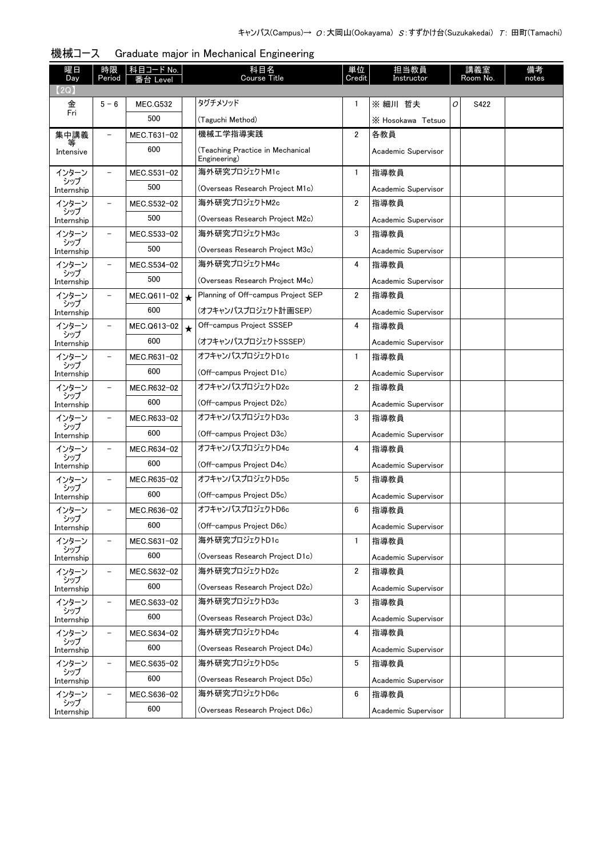| 曜日<br>Day           | 時限<br>Period             | <u>科目コード No.</u><br>i台 Level |         | 科目名<br>Course Title                              | 単位<br>Credit   | 担当教員<br>Instructor  |   | 講義室<br>Room No. | 備考<br>notes |
|---------------------|--------------------------|------------------------------|---------|--------------------------------------------------|----------------|---------------------|---|-----------------|-------------|
| (2Q)                |                          |                              |         |                                                  |                |                     |   |                 |             |
| 金<br>Fri            | $5 - 6$                  | <b>MEC.G532</b>              |         | タグチメソッド                                          | 1              | ※ 細川 哲夫             | 0 | S422            |             |
|                     |                          | 500                          |         | (Taguchi Method)                                 |                | X Hosokawa Tetsuo   |   |                 |             |
| 集中講義                |                          | MEC.T631-02                  |         | 機械工学指導実践                                         | 2              | 各教員                 |   |                 |             |
| Intensive           |                          | 600                          |         | (Teaching Practice in Mechanical<br>Engineering) |                | Academic Supervisor |   |                 |             |
| インターン               |                          | MEC.S531-02                  |         | 海外研究プロジェクトM1c                                    | $\mathbf{1}$   | 指導教員                |   |                 |             |
| シップ<br>Internship   |                          | 500                          |         | (Overseas Research Project M1c)                  |                | Academic Supervisor |   |                 |             |
| インターン               | $\overline{\phantom{0}}$ | MEC.S532-02                  |         | 海外研究プロジェクトM2c                                    | $\overline{2}$ | 指導教員                |   |                 |             |
| シップ<br>Internship   |                          | 500                          |         | (Overseas Research Project M2c)                  |                | Academic Supervisor |   |                 |             |
| インターン               | $\overline{\phantom{0}}$ | MEC.S533-02                  |         | 海外研究プロジェクトM3c                                    | 3              | 指導教員                |   |                 |             |
| シップ<br>Internship   |                          | 500                          |         | (Overseas Research Project M3c)                  |                | Academic Supervisor |   |                 |             |
| インターン               |                          | MEC.S534-02                  |         | 海外研究プロジェクトM4c                                    | 4              | 指導教員                |   |                 |             |
| シップ<br>Internship   |                          | 500                          |         | (Overseas Research Project M4c)                  |                | Academic Supervisor |   |                 |             |
| インターン               |                          | MEC.Q611-02                  | $\star$ | Planning of Off-campus Project SEP               | 2              | 指導教員                |   |                 |             |
| シップ<br>Internship   |                          | 600                          |         | (オフキャンパスプロジェクト計画SEP)                             |                | Academic Supervisor |   |                 |             |
| インターン               |                          | MEC.Q613-02                  | $\star$ | Off-campus Project SSSEP                         | 4              | 指導教員                |   |                 |             |
| シップ<br>Internship   |                          | 600                          |         | (オフキャンパスプロジェクトSSSEP)                             |                | Academic Supervisor |   |                 |             |
| インターン               | $\overline{\phantom{0}}$ | MEC.R631-02                  |         | オフキャンパスプロジェクトD1c                                 | $\mathbf{1}$   | 指導教員                |   |                 |             |
| シップ<br>Internship   |                          | 600                          |         | (Off-campus Project D1c)                         |                | Academic Supervisor |   |                 |             |
| インターン               | $\overline{\phantom{0}}$ | MEC.R632-02                  |         | オフキャンパスプロジェクトD2c                                 | 2              | 指導教員                |   |                 |             |
| シップ<br>Internship   |                          | 600                          |         | (Off-campus Project D2c)                         |                | Academic Supervisor |   |                 |             |
| インターン               | $\overline{\phantom{0}}$ | MEC.R633-02                  |         | オフキャンパスプロジェクトD3c                                 | 3              | 指導教員                |   |                 |             |
| シップ<br>Internship   |                          | 600                          |         | (Off-campus Project D3c)                         |                | Academic Supervisor |   |                 |             |
| インターン               | $\overline{\phantom{0}}$ | MEC.R634-02                  |         | オフキャンパスプロジェクトD4c                                 | 4              | 指導教員                |   |                 |             |
| シップ<br>Internship   |                          | 600                          |         | (Off-campus Project D4c)                         |                | Academic Supervisor |   |                 |             |
| インターン               | -                        | MEC.R635-02                  |         | オフキャンパスプロジェクトD5c                                 | 5              | 指導教員                |   |                 |             |
| シップ<br>Internship   |                          | 600                          |         | (Off-campus Project D5c)                         |                | Academic Supervisor |   |                 |             |
| インターン               | -                        | MEC.R636-02                  |         | オフキャンパスプロジェクトD6c                                 | 6              | 指導教員                |   |                 |             |
| シップ<br>Internship   |                          | 600                          |         | (Off-campus Project D6c)                         |                | Academic Supervisor |   |                 |             |
| インターン               | -                        | MEC.S631-02                  |         | 海外研究プロジェクトD1c                                    | 1              | 指導教員                |   |                 |             |
| シップ<br>Internship   |                          | 600                          |         | (Overseas Research Project D1c)                  |                | Academic Supervisor |   |                 |             |
| インターン               | -                        | MEC.S632-02                  |         | 海外研究プロジェクトD2c                                    | 2              | 指導教員                |   |                 |             |
| シップ<br>Internship   |                          | 600                          |         | (Overseas Research Project D2c)                  |                | Academic Supervisor |   |                 |             |
| インターン               | -                        | MEC.S633-02                  |         | 海外研究プロジェクトD3c                                    | 3              | 指導教員                |   |                 |             |
| シップ<br>Internship   |                          | 600                          |         | (Overseas Research Project D3c)                  |                | Academic Supervisor |   |                 |             |
| インターン               | -                        | MEC.S634-02                  |         | 海外研究プロジェクトD4c                                    | 4              | 指導教員                |   |                 |             |
| シップ                 |                          | 600                          |         | (Overseas Research Project D4c)                  |                | Academic Supervisor |   |                 |             |
| Internship<br>インターン | $\qquad \qquad -$        | MEC.S635-02                  |         | 海外研究プロジェクトD5c                                    | 5              | 指導教員                |   |                 |             |
| シップ                 |                          | 600                          |         | (Overseas Research Project D5c)                  |                | Academic Supervisor |   |                 |             |
| Internship<br>インターン | $\qquad \qquad -$        | MEC.S636-02                  |         | 海外研究プロジェクトD6c                                    | 6              | 指導教員                |   |                 |             |
| シップ                 |                          | 600                          |         | (Overseas Research Project D6c)                  |                |                     |   |                 |             |
| Internship          |                          |                              |         |                                                  |                | Academic Supervisor |   |                 |             |

| 機械コース |  |  | Graduate major in Mechanical Engineering |
|-------|--|--|------------------------------------------|
|       |  |  |                                          |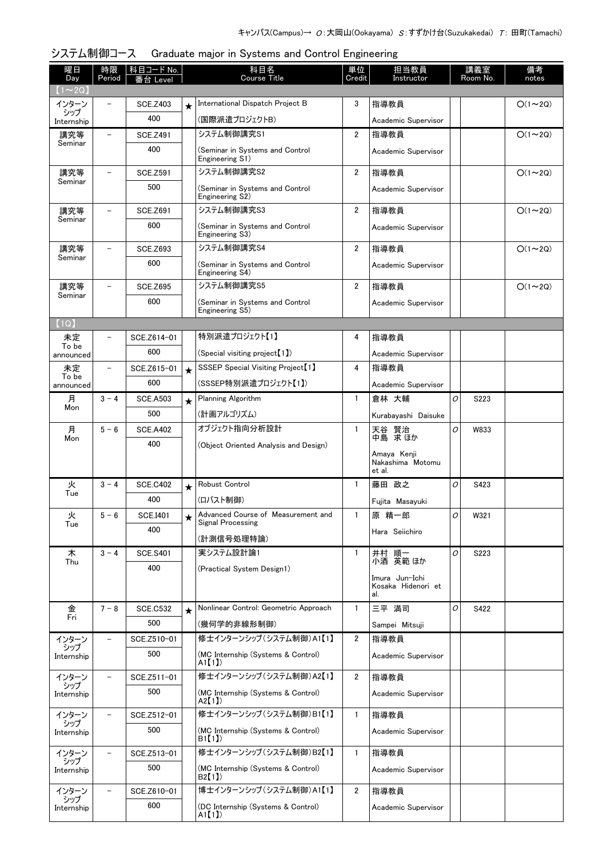| 曜日<br>Day          | 時限<br>Period             | 科目コード No.<br>番台 Level  |         | 科目名<br><b>Course Title</b>                         | 単位<br>Credit            | 担当教員<br>Instructor                        |   | 講義室<br>Room No. | 備考<br>notes   |
|--------------------|--------------------------|------------------------|---------|----------------------------------------------------|-------------------------|-------------------------------------------|---|-----------------|---------------|
| $(1 \sim 20)$      |                          |                        |         |                                                    |                         |                                           |   |                 |               |
| インターン<br>シップ       |                          | <b>SCE.Z403</b>        | $\star$ | International Dispatch Project B                   | 3                       | 指導教員                                      |   |                 | $O(1\sim 2Q)$ |
| Internship         |                          | 400                    |         | (国際派遣プロジェクトB)                                      |                         | Academic Supervisor                       |   |                 |               |
| 講究等                | $\overline{\phantom{0}}$ | <b>SCE.Z491</b>        |         | システム制御講究S1                                         | $\overline{\mathbf{2}}$ | 指導教員                                      |   |                 | $O(1\sim 2Q)$ |
| Seminar            |                          | 400                    |         | (Seminar in Systems and Control<br>Engineering S1) |                         | Academic Supervisor                       |   |                 |               |
| 講究等                | $\overline{\phantom{0}}$ | <b>SCE.Z591</b>        |         | システム制御講究S2                                         | $\overline{2}$          | 指導教員                                      |   |                 | $O(1\sim 2Q)$ |
| Seminar            |                          | 500                    |         | (Seminar in Systems and Control<br>Engineering S2) |                         | Academic Supervisor                       |   |                 |               |
| 講究等                |                          | <b>SCE.Z691</b>        |         | システム制御講究S3                                         | 2                       | 指導教員                                      |   |                 | $O(1\sim 2Q)$ |
| Seminar            |                          | 600                    |         | (Seminar in Systems and Control<br>Engineering S3) |                         | Academic Supervisor                       |   |                 |               |
| 講究等                |                          | <b>SCE.Z693</b>        |         | システム制御講究S4                                         | $\overline{2}$          | 指導教員                                      |   |                 | $O(1\sim 2Q)$ |
| Seminar            |                          | 600                    |         | (Seminar in Systems and Control<br>Engineering S4) |                         | Academic Supervisor                       |   |                 |               |
| 講究等                |                          | <b>SCE.Z695</b>        |         | システム制御講究S5                                         | 2                       | 指導教員                                      |   |                 | $O(1\sim 2Q)$ |
| Seminar            |                          | 600                    |         | (Seminar in Systems and Control<br>Engineering S5) |                         | Academic Supervisor                       |   |                 |               |
| (1Q)               |                          |                        |         |                                                    |                         |                                           |   |                 |               |
| 未定<br>To be        | -                        | SCE.Z614-01            |         | 特別派遣プロジェクト【1】                                      | 4                       | 指導教員                                      |   |                 |               |
| announced          |                          | 600                    |         | (Special visiting project【1】)                      |                         | Academic Supervisor                       |   |                 |               |
| 未定                 | $\overline{\phantom{0}}$ | SCE.Z615-01            | $\star$ | SSSEP Special Visiting Project <sup>[1]</sup>      | 4                       | 指導教員                                      |   |                 |               |
| To be<br>announced |                          | 600                    |         | (SSSEP特別派遣プロジェクト【1】)                               |                         | Academic Supervisor                       |   |                 |               |
| 月                  | $3 - 4$                  | <b>SCE.A503</b>        | $\star$ | Planning Algorithm                                 | 1                       | 倉林 大輔                                     | 0 | S223            |               |
| Mon                |                          | 500                    |         | (計画アルゴリズム)                                         |                         | Kurabayashi Daisuke                       |   |                 |               |
| 月                  | $5 - 6$                  | <b>SCE.A402</b>        |         | オブジェクト指向分析設計                                       | 1                       | 天谷 賢治                                     | O | W833            |               |
| Mon                |                          | 400                    |         | (Object Oriented Analysis and Design)              |                         | 中島 求ほか                                    |   |                 |               |
|                    |                          |                        |         |                                                    |                         | Amava Kenii<br>Nakashima Motomu<br>et al. |   |                 |               |
| 火                  | $3 - 4$                  | <b>SCE.C402</b>        | $\star$ | Robust Control                                     | 1                       | 藤田 政之                                     | 0 | S423            |               |
| Tue                |                          | 400                    |         | (ロバスト制御)                                           |                         | Fujita Masayuki                           |   |                 |               |
| 火                  | $5 - 6$                  | <b>SCE.I401</b>        | ★       | Advanced Course of Measurement and                 |                         | 原 精一郎                                     | 0 | W321            |               |
| Tue                |                          | 400                    |         | Signal Processing                                  |                         | Hara Seiichiro                            |   |                 |               |
|                    |                          |                        |         | (計測信号処理特論)<br>実システム設計論1                            |                         |                                           |   |                 |               |
| 木<br>Thu           | $3 - 4$                  | <b>SCE.S401</b><br>400 |         |                                                    | $\mathbf{1}$            | 井村 順一<br>小酒 英範 ほか                         | 0 | S223            |               |
|                    |                          |                        |         | (Practical System Design1)                         |                         | Imura Jun-Ichi                            |   |                 |               |
|                    |                          |                        |         |                                                    |                         | Kosaka Hidenori et<br>al.                 |   |                 |               |
| 金<br>Fri           | $7 - 8$                  | <b>SCE.C532</b>        |         | Nonlinear Control: Geometric Approach              | $\mathbf{1}$            | 三平 満司                                     | 0 | S422            |               |
|                    |                          | 500                    |         | (幾何学的非線形制御)                                        |                         | Sampei Mitsuji                            |   |                 |               |
| インターン<br>シップ       |                          | SCE.Z510-01            |         | 修士インターンシップ(システム制御)A1【1】                            | 2                       | 指導教員                                      |   |                 |               |
| Internship         |                          | 500                    |         | (MC Internship (Systems & Control)<br>A1【1】)       |                         | Academic Supervisor                       |   |                 |               |
| インターン<br>シップ       |                          | SCE.Z511-01            |         | 修士インターンシップ(システム制御)A2【1】                            | $\overline{2}$          | 指導教員                                      |   |                 |               |
| Internship         |                          | 500                    |         | (MC Internship (Systems & Control)<br>A2【1】)       |                         | Academic Supervisor                       |   |                 |               |
| インターン<br>シップ       |                          | SCE.Z512-01            |         | 修士インターンシップ (システム制御)B1【1】                           | $\mathbf{1}$            | 指導教員                                      |   |                 |               |
| Internship         |                          | 500                    |         | (MC Internship (Systems & Control)<br>B1[1]        |                         | Academic Supervisor                       |   |                 |               |
| インターン<br>シップ       | $\qquad \qquad -$        | SCE.Z513-01            |         | 修士インターンシップ (システム制御)B2【1】                           | $\mathbf{1}$            | 指導教員                                      |   |                 |               |
| Internship         |                          | 500                    |         | (MC Internship (Systems & Control)<br>B2[1]        |                         | Academic Supervisor                       |   |                 |               |
| インターン<br>シップ       | $\overline{\phantom{0}}$ | SCE.Z610-01            |         | 博士インターンシップ (システム制御)A1【1】                           | $\overline{2}$          | 指導教員                                      |   |                 |               |
| Internship         |                          | 600                    |         | (DC Internship (Systems & Control)<br>A1【1】)       |                         | Academic Supervisor                       |   |                 |               |

# システム制御コース Graduate major in Systems and Control Engineering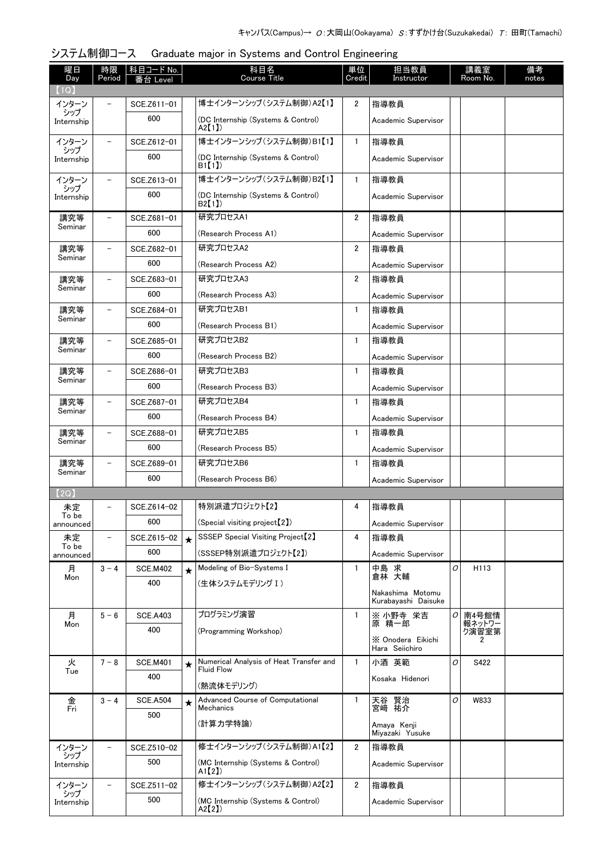| 曜日<br>Day          | 時限<br>Period             | │科目コード No.<br>番台 Level |         | 科目名<br><b>Course Title</b>                                   | 単位<br>Credit   | 担当教員<br>Instructor                      |   | 講義室<br>Room No. | 備考<br>notes |
|--------------------|--------------------------|------------------------|---------|--------------------------------------------------------------|----------------|-----------------------------------------|---|-----------------|-------------|
| 【1Q】               |                          |                        |         |                                                              |                |                                         |   |                 |             |
| インターン<br>シップ       |                          | SCE.Z611-01            |         | 博士インターンシップ (システム制御)A2【1】                                     | 2              | 指導教員                                    |   |                 |             |
| Internship         |                          | 600                    |         | (DC Internship (Systems & Control)<br>$A2$ [1])              |                | Academic Supervisor                     |   |                 |             |
| インターン<br>シップ       |                          | SCE.Z612-01            |         | 博士インターンシップ(システム制御)B1【1】                                      | $\mathbf{1}$   | 指導教員                                    |   |                 |             |
| Internship         |                          | 600                    |         | (DC Internship (Systems & Control)<br>B <sub>1</sub> (1)     |                | Academic Supervisor                     |   |                 |             |
| インターン              | $\overline{\phantom{0}}$ | SCE.Z613-01            |         | 博士インターンシップ(システム制御)B2【1】                                      | $\mathbf{1}$   | 指導教員                                    |   |                 |             |
| シップ<br>Internship  |                          | 600                    |         | (DC Internship (Systems & Control)<br>B2(1)                  |                | Academic Supervisor                     |   |                 |             |
| 講究等                | $\overline{\phantom{0}}$ | SCE.Z681-01            |         | 研究プロセスA1                                                     | $\overline{2}$ | 指導教員                                    |   |                 |             |
| Seminar            |                          | 600                    |         | (Research Process A1)                                        |                | Academic Supervisor                     |   |                 |             |
| 講究等                | $\overline{\phantom{0}}$ | SCE.Z682-01            |         | 研究プロセスA2                                                     | $\overline{2}$ | 指導教員                                    |   |                 |             |
| Seminar            |                          | 600                    |         | (Research Process A2)                                        |                | Academic Supervisor                     |   |                 |             |
| 講究等                |                          | SCE.Z683-01            |         | 研究プロセスA3                                                     | $\overline{2}$ | 指導教員                                    |   |                 |             |
| Seminar            |                          | 600                    |         | (Research Process A3)                                        |                | Academic Supervisor                     |   |                 |             |
| 講究等                |                          | SCE.Z684-01            |         | 研究プロセスB1                                                     | $\mathbf{1}$   | 指導教員                                    |   |                 |             |
| Seminar            |                          | 600                    |         | (Research Process B1)                                        |                |                                         |   |                 |             |
|                    |                          |                        |         | 研究プロセスB2                                                     |                | Academic Supervisor                     |   |                 |             |
| 講究等<br>Seminar     |                          | SCE.Z685-01            |         |                                                              | $\mathbf{1}$   | 指導教員                                    |   |                 |             |
|                    |                          | 600                    |         | (Research Process B2)                                        |                | Academic Supervisor                     |   |                 |             |
| 講究等<br>Seminar     |                          | SCE.Z686-01            |         | 研究プロセスB3                                                     | $\mathbf{1}$   | 指導教員                                    |   |                 |             |
|                    |                          | 600                    |         | (Research Process B3)                                        |                | Academic Supervisor                     |   |                 |             |
| 講究等<br>Seminar     |                          | SCE.Z687-01            |         | 研究プロセスB4                                                     | $\mathbf{1}$   | 指導教員                                    |   |                 |             |
|                    |                          | 600                    |         | (Research Process B4)                                        |                | Academic Supervisor                     |   |                 |             |
| 講究等<br>Seminar     |                          | SCE.Z688-01            |         | 研究プロセスB5                                                     | $\mathbf{1}$   | 指導教員                                    |   |                 |             |
|                    |                          | 600                    |         | (Research Process B5)                                        |                | Academic Supervisor                     |   |                 |             |
| 講究等                |                          | SCE.Z689-01            |         | 研究プロセスB6                                                     | $\mathbf{1}$   | 指導教員                                    |   |                 |             |
| Seminar            |                          | 600                    |         | (Research Process B6)                                        |                | Academic Supervisor                     |   |                 |             |
| 【2Q】               |                          |                        |         |                                                              |                |                                         |   |                 |             |
| 未定                 |                          | SCE.Z614-02            |         | 特別派遣プロジェクト【2】                                                | 4              | 指導教員                                    |   |                 |             |
| To be<br>announced |                          | 600                    |         | (Special visiting project <sup>[2]</sup> )                   |                | Academic Supervisor                     |   |                 |             |
| 未定                 |                          | SCE.Z615-02            | $\star$ | SSSEP Special Visiting Project <sup>[2]</sup>                | 4              | 指導教員                                    |   |                 |             |
| To be<br>announced |                          | 600                    |         | (SSSEP特別派遣プロジェクト【2】)                                         |                | Academic Supervisor                     |   |                 |             |
| 月                  | $3 - 4$                  | <b>SCE.M402</b>        | $\star$ | Modeling of Bio-Systems I                                    | 1              | 中島 求<br>倉林 大輔                           | O | H113            |             |
| Mon                |                          | 400                    |         | (生体システムモデリング I)                                              |                |                                         |   |                 |             |
|                    |                          |                        |         |                                                              |                | Nakashima Motomu<br>Kurabayashi Daisuke |   |                 |             |
| 月                  | $5 - 6$                  | <b>SCE.A403</b>        |         | プログラミング演習                                                    | $\mathbf{1}$   | ※ 小野寺 栄吉<br>原 精一郎                       | 0 | 南4号館情           |             |
| Mon                |                          | 400                    |         | (Programming Workshop)                                       |                |                                         |   | 報ネットワー<br>ク演習室第 |             |
|                    |                          |                        |         |                                                              |                | X Onodera Eikichi<br>Hara Seiichiro     |   | 2               |             |
| 火                  | $7 - 8$                  | <b>SCE.M401</b>        | ★       | Numerical Analysis of Heat Transfer and<br><b>Fluid Flow</b> | $\mathbf{1}$   | 小酒 英範                                   | O | S422            |             |
| Tue                |                          | 400                    |         |                                                              |                | Kosaka Hidenori                         |   |                 |             |
| 金                  | $3 - 4$                  | <b>SCE.A504</b>        |         | (熱流体モデリング)<br>Advanced Course of Computational               | $\mathbf{1}$   |                                         | 0 | W833            |             |
| Fri                |                          | 500                    | $\star$ | <b>Mechanics</b>                                             |                | 天谷 賢治<br>宮崎 祐介                          |   |                 |             |
|                    |                          |                        |         | (計算力学特論)                                                     |                | Amaya Kenji<br>Miyazaki Yusuke          |   |                 |             |
| インターン              |                          | SCE.Z510-02            |         | 修士インターンシップ(システム制御)A1【2】                                      | 2              | 指導教員                                    |   |                 |             |
| シップ<br>Internship  |                          | 500                    |         | (MC Internship (Systems & Control)<br>A1[2]                  |                | Academic Supervisor                     |   |                 |             |
| インターン              |                          | SCE.Z511-02            |         | 修士インターンシップ (システム制御)A2【2】                                     | $\overline{2}$ | 指導教員                                    |   |                 |             |
| シップ                |                          | 500                    |         |                                                              |                |                                         |   |                 |             |
| Internship         |                          |                        |         | (MC Internship (Systems & Control)<br>A2[2]                  |                | Academic Supervisor                     |   |                 |             |

#### システム制御コース Graduate major in Systems and Control Engineering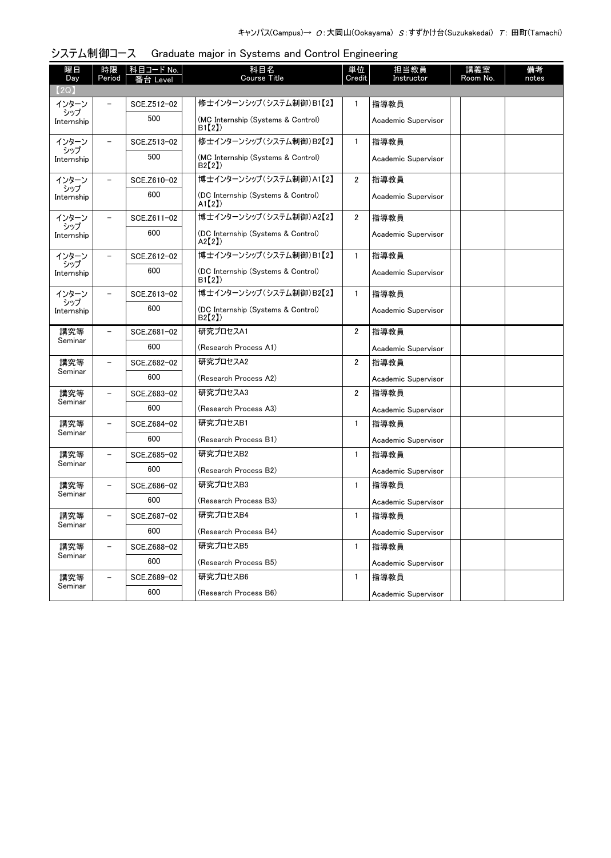| 曜日                | 時限                       | 科目コード No.   | 科目名                                             | 単位             | 担当教員                | 講義室      | 備考    |
|-------------------|--------------------------|-------------|-------------------------------------------------|----------------|---------------------|----------|-------|
| Day<br>【2Q】       | Period                   | 番台 Level    | <b>Course Title</b>                             | Credit         | Instructor          | Room No. | notes |
| インターン             |                          | SCE.Z512-02 | 修士インターンシップ (システム制御)B1【2】                        | 1              | 指導教員                |          |       |
| シップ<br>Internship |                          | 500         | (MC Internship (Systems & Control)<br>B1【2】     |                | Academic Supervisor |          |       |
| インターン             | $\overline{\phantom{0}}$ | SCE.Z513-02 | 修士インターンシップ (システム制御)B2【2】                        | $\mathbf{1}$   | 指導教員                |          |       |
| シップ<br>Internship |                          | 500         | (MC Internship (Systems & Control)<br>B2(2)     |                | Academic Supervisor |          |       |
| インターン             | $\overline{\phantom{0}}$ | SCE.Z610-02 | 博士インターンシップ (システム制御)A1【2】                        | $\overline{2}$ | 指導教員                |          |       |
| シップ<br>Internship |                          | 600         | (DC Internship (Systems & Control)<br>$A1$ [2]) |                | Academic Supervisor |          |       |
| インターン             |                          | SCE.Z611-02 | 博士インターンシップ (システム制御)A2【2】                        | 2              | 指導教員                |          |       |
| シップ<br>Internship |                          | 600         | (DC Internship (Systems & Control)<br>A2[2])    |                | Academic Supervisor |          |       |
| インターン             |                          | SCE.Z612-02 | 博士インターンシップ (システム制御)B1【2】                        | $\mathbf{1}$   | 指導教員                |          |       |
| シップ<br>Internship |                          | 600         | (DC Internship (Systems & Control)<br>B1(2)     |                | Academic Supervisor |          |       |
| インターン             |                          | SCE.Z613-02 | 博士インターンシップ(システム制御)B2【2】                         | $\mathbf{1}$   | 指導教員                |          |       |
| シップ<br>Internship |                          | 600         | (DC Internship (Systems & Control)<br>B2(2)     |                | Academic Supervisor |          |       |
| 講究等               |                          | SCE.Z681-02 | 研究プロセスA1                                        | $\overline{2}$ | 指導教員                |          |       |
| Seminar           |                          | 600         | (Research Process A1)                           |                | Academic Supervisor |          |       |
| 講究等               | $\overline{\phantom{0}}$ | SCE.Z682-02 | 研究プロセスA2                                        | 2              | 指導教員                |          |       |
| Seminar           |                          | 600         | (Research Process A2)                           |                | Academic Supervisor |          |       |
| 講究等               | $\overline{\phantom{0}}$ | SCE.Z683-02 | 研究プロセスA3                                        | $\overline{2}$ | 指導教員                |          |       |
| Seminar           |                          | 600         | (Research Process A3)                           |                | Academic Supervisor |          |       |
| 講究等               | $\overline{\phantom{0}}$ | SCE.Z684-02 | 研究プロセスB1                                        | 1              | 指導教員                |          |       |
| Seminar           |                          | 600         | (Research Process B1)                           |                | Academic Supervisor |          |       |
| 講究等               | $\overline{\phantom{0}}$ | SCE.Z685-02 | 研究プロセスB2                                        | $\mathbf{1}$   | 指導教員                |          |       |
| Seminar           |                          | 600         | (Research Process B2)                           |                | Academic Supervisor |          |       |
| 講究等               | $\overline{\phantom{0}}$ | SCE.Z686-02 | 研究プロセスB3                                        | 1              | 指導教員                |          |       |
| Seminar           |                          | 600         | (Research Process B3)                           |                | Academic Supervisor |          |       |
| 講究等               |                          | SCE.Z687-02 | 研究プロセスB4                                        | 1.             | 指導教員                |          |       |
| Seminar           |                          | 600         | (Research Process B4)                           |                | Academic Supervisor |          |       |
| 講究等               | $\overline{\phantom{0}}$ | SCE.Z688-02 | 研究プロセスB5                                        | 1              | 指導教員                |          |       |
| Seminar           |                          | 600         | (Research Process B5)                           |                | Academic Supervisor |          |       |
| 講究等               | $\overline{\phantom{0}}$ | SCE.Z689-02 | 研究プロセスB6                                        | 1              | 指導教員                |          |       |
| Seminar           |                          | 600         | (Research Process B6)                           |                | Academic Supervisor |          |       |

#### システム制御コース Graduate major in Systems and Control Engineering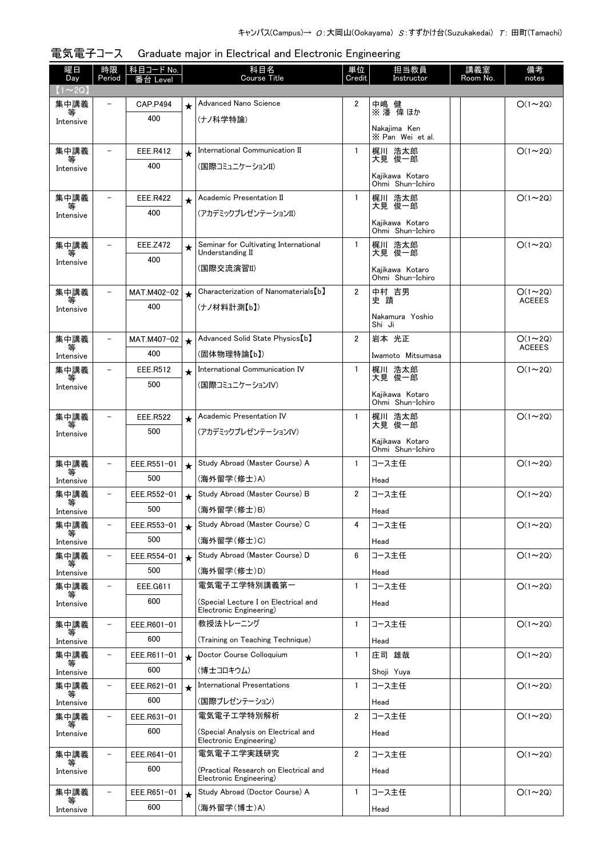| 曜日<br>Day         | 時限<br>Period             | 科目コード No.<br>番台 Level |            | 科目名<br><b>Course Title</b>                                       | 単位<br>Credit   | 担当教員<br>Instructor                  | 講義室<br>Room No. | 備考<br>notes   |
|-------------------|--------------------------|-----------------------|------------|------------------------------------------------------------------|----------------|-------------------------------------|-----------------|---------------|
| $(1\sim2Q)$       |                          |                       |            |                                                                  |                |                                     |                 |               |
| 集中講義              | $\overline{\phantom{a}}$ | <b>CAP.P494</b>       | $\bigstar$ | <b>Advanced Nano Science</b>                                     | 2              | 中嶋 健<br>※ 潘 偉 ほか                    |                 | $O(1\sim 2Q)$ |
| 等<br>Intensive    |                          | 400                   |            | (ナノ科学特論)                                                         |                |                                     |                 |               |
|                   |                          |                       |            |                                                                  |                | Nakaiima Ken<br>X Pan Wei et al.    |                 |               |
| 集中講義              |                          | EEE.R412              | $\star$    | International Communication II                                   | $\mathbf{1}$   | 梶川 浩太郎                              |                 | $O(1\sim 2Q)$ |
| Intensive         |                          | 400                   |            | (国際コミュニケーションII)                                                  |                | 大見 俊一郎                              |                 |               |
|                   |                          |                       |            |                                                                  |                | Kaiikawa Kotaro<br>Ohmi Shun-Ichiro |                 |               |
| 集中講義              |                          | EEE.R422              | $\star$    | Academic Presentation II                                         | $\mathbf{1}$   | 梶川 浩太郎                              |                 | $O(1\sim 2Q)$ |
| 等<br>Intensive    |                          | 400                   |            | (アカデミックプレゼンテーションII)                                              |                | 大見 俊一郎                              |                 |               |
|                   |                          |                       |            |                                                                  |                | Kajikawa Kotaro<br>Ohmi Shun-Ichiro |                 |               |
| 集中講義              |                          | <b>EEE.Z472</b>       | $\star$    | Seminar for Cultivating International                            | $\mathbf{1}$   | 梶川 浩太郎                              |                 | $O(1\sim 2Q)$ |
| 等<br>Intensive    |                          | 400                   |            | Understanding II                                                 |                | 大見 俊一郎                              |                 |               |
|                   |                          |                       |            | (国際交流演習II)                                                       |                | Kajikawa Kotaro<br>Ohmi Shun-Ichiro |                 |               |
| 集中講義              | $\overline{\phantom{m}}$ | MAT.M402-02           | $\star$    | Characterization of Nanomaterials [b]                            | $\overline{2}$ | 中村」吉男                               |                 | $O(1\sim 2Q)$ |
| 等<br>Intensive    |                          | 400                   |            | (ナノ材料計測【b】)                                                      |                | 史蹟                                  |                 | <b>ACEEES</b> |
|                   |                          |                       |            |                                                                  |                | Nakamura Yoshio<br>Shi Ji           |                 |               |
| 集中講義              |                          | MAT.M407-02           | $\bigstar$ | Advanced Solid State Physics [b]                                 | $\overline{2}$ | 岩本 光正                               |                 | $O(1\sim 2Q)$ |
| Intensive         |                          | 400                   |            | (固体物理特論【b】)                                                      |                | Iwamoto Mitsumasa                   |                 | <b>ACEEES</b> |
| 集中講義              |                          | EEE.R512              | $\star$    | International Communication IV                                   | $\mathbf{1}$   | 梶川 浩太郎                              |                 | $O(1\sim 2Q)$ |
| Intensive         |                          | 500                   |            | (国際コミュニケーションIV)                                                  |                | 大見 俊一郎                              |                 |               |
|                   |                          |                       |            |                                                                  |                | Kajikawa Kotaro<br>Ohmi Shun-Ichiro |                 |               |
| 集中講義              | $\overline{\phantom{a}}$ | <b>EEE.R522</b>       | $\star$    | Academic Presentation IV                                         | $\mathbf{1}$   | 梶川 浩太郎<br>大見 俊一郎                    |                 | $O(1\sim 2Q)$ |
| 等<br>Intensive    |                          | 500                   |            | (アカデミックプレゼンテーションIV)                                              |                |                                     |                 |               |
|                   |                          |                       |            |                                                                  |                | Kajikawa Kotaro<br>Ohmi Shun-Ichiro |                 |               |
| 集中講義              |                          | EEE.R551-01           | $\star$    | Study Abroad (Master Course) A                                   | $\mathbf{1}$   | コース主任                               |                 | $O(1\sim 2Q)$ |
| 等<br>Intensive    |                          | 500                   |            | (海外留学(修士)A)                                                      |                | Head                                |                 |               |
| 集中講義              | $\overline{\phantom{m}}$ | EEE.R552-01           | $\star$    | Study Abroad (Master Course) B                                   | 2              | コース主任                               |                 | $O(1\sim 2Q)$ |
| 等<br>Intensive    |                          | 500                   |            | (海外留学(修士)B)                                                      |                | Head                                |                 |               |
| 集中講義              | $\overline{\phantom{a}}$ | EEE.R553-01           | $\star$    | Study Abroad (Master Course) C                                   | 4              | コース主任                               |                 | $O(1\sim 2Q)$ |
| 等<br>Intensive    |                          | 500                   |            | (海外留学(修士)C)                                                      |                | Head                                |                 |               |
| 集中講義              | $\overline{\phantom{a}}$ | EEE.R554-01           | $\star$    | Study Abroad (Master Course) D                                   | 6              | コース主任                               |                 | $O(1\sim 2Q)$ |
| 等<br>Intensive    |                          | 500                   |            | (海外留学(修士)D)                                                      |                | Head                                |                 |               |
| 集中講義              |                          | EEE.G611              |            | 電気電子工学特別講義第一                                                     | 1              | コース主任                               |                 | $O(1\sim 2Q)$ |
| Intensive         |                          | 600                   |            | (Special Lecture I on Electrical and                             |                | Head                                |                 |               |
| 集中講義              | $\overline{\phantom{a}}$ | EEE.R601-01           |            | Electronic Engineering)<br>教授法トレーニング                             | $\mathbf{1}$   | コース主任                               |                 | $O(1\sim 2Q)$ |
| 等                 |                          | 600                   |            | (Training on Teaching Technique)                                 |                |                                     |                 |               |
| Intensive<br>集中講義 | $\equiv$                 | EEE.R611-01           | $\star$    | Doctor Course Colloquium                                         | $\mathbf{1}$   | Head<br>庄司 雄哉                       |                 | $O(1\sim 2Q)$ |
| 等                 |                          | 600                   |            | (博士コロキウム)                                                        |                | Shoji Yuya                          |                 |               |
| Intensive<br>集中講義 | $\overline{\phantom{a}}$ | EEE.R621-01           | $\star$    | <b>International Presentations</b>                               | $\mathbf{1}$   | コース主任                               |                 | $O(1\sim 2Q)$ |
| 等                 |                          | 600                   |            | (国際プレゼンテーション)                                                    |                | Head                                |                 |               |
| Intensive<br>集中講義 | $\overline{\phantom{a}}$ | EEE.R631-01           |            | 電気電子工学特別解析                                                       | $\overline{2}$ | コース主任                               |                 | $O(1\sim 2Q)$ |
| 等                 |                          | 600                   |            | (Special Analysis on Electrical and                              |                | Head                                |                 |               |
| Intensive         |                          |                       |            | Electronic Engineering)                                          |                |                                     |                 |               |
| 集中講義              | $\overline{\phantom{a}}$ | EEE.R641-01           |            | 電気電子工学実践研究                                                       | 2              | コース主任                               |                 | $O(1\sim 2Q)$ |
| Intensive         |                          | 600                   |            | (Practical Research on Electrical and<br>Electronic Engineering) |                | Head                                |                 |               |
| 集中講義              |                          | EEE.R651-01           | $\star$    | Study Abroad (Doctor Course) A                                   | $\mathbf{1}$   | コース主任                               |                 | $O(1\sim 2Q)$ |
| Intensive         |                          | 600                   |            | (海外留学(博士)A)                                                      |                | Head                                |                 |               |

# 電気電子コース Graduate major in Electrical and Electronic Engineering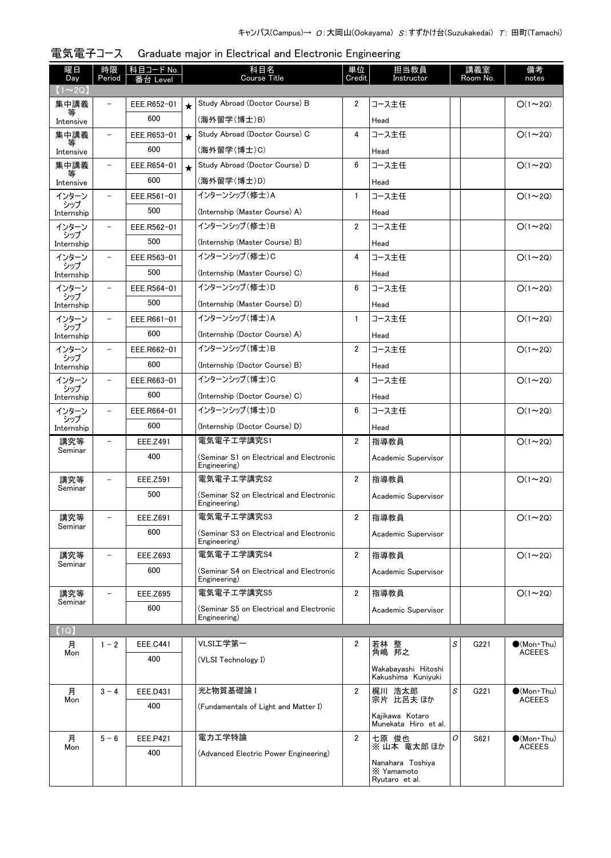| 曜日<br>Day         | 時限<br>Period             | <u> 科目コード No.</u><br>番台 Level |         | 科目名<br><b>Course Title</b>                               | 単位<br>Credit   | 担当教員<br>Instructor                               |   | 講義室<br>Room No. | 備考<br>notes         |
|-------------------|--------------------------|-------------------------------|---------|----------------------------------------------------------|----------------|--------------------------------------------------|---|-----------------|---------------------|
| $(1\sim2Q)$       |                          |                               |         |                                                          |                |                                                  |   |                 |                     |
| 集中講義              |                          | EEE.R652-01                   | $\star$ | Study Abroad (Doctor Course) B                           | $\overline{2}$ | コース主任                                            |   |                 | $O(1\sim 2Q)$       |
| 等<br>Intensive    |                          | 600                           |         | (海外留学(博士)B)                                              |                | Head                                             |   |                 |                     |
| 集中講義              | -                        | EEE.R653-01                   | $\star$ | Study Abroad (Doctor Course) C                           | 4              | コース主任                                            |   |                 | $O(1\sim 2Q)$       |
| Intensive         |                          | 600                           |         | (海外留学(博士)C)                                              |                | Head                                             |   |                 |                     |
| 集中講義              | $\overline{\phantom{0}}$ | EEE.R654-01                   | $\star$ | Study Abroad (Doctor Course) D                           | 6              | コース主任                                            |   |                 | $O(1\sim 2Q)$       |
| 等<br>Intensive    |                          | 600                           |         | (海外留学(博士)D)                                              |                | Head                                             |   |                 |                     |
| インターン             |                          | EEE.R561-01                   |         | インターンシップ (修士)A                                           | $\mathbf{1}$   | コース主任                                            |   |                 | $O(1\sim 2Q)$       |
| シップ<br>Internship |                          | 500                           |         | (Internship (Master Course) A)                           |                | Head                                             |   |                 |                     |
| インターン             | $\overline{\phantom{0}}$ | EEE.R562-01                   |         | インターンシップ(修士)B                                            | $\overline{2}$ | コース主任                                            |   |                 | $O(1\sim 2Q)$       |
| シップ<br>Internship |                          | 500                           |         | (Internship (Master Course) B)                           |                | Head                                             |   |                 |                     |
| インターン             | $\overline{\phantom{0}}$ | EEE.R563-01                   |         | インターンシップ (修士)C                                           | 4              | コース主任                                            |   |                 | $O(1\sim 2Q)$       |
| シップ<br>Internship |                          | 500                           |         | (Internship (Master Course) C)                           |                | Head                                             |   |                 |                     |
| インターン             | $\overline{\phantom{0}}$ | EEE.R564-01                   |         | インターンシップ(修士)D                                            | 6              | コース主任                                            |   |                 | $O(1\sim 2Q)$       |
| シップ<br>Internship |                          | 500                           |         | (Internship (Master Course) D)                           |                | Head                                             |   |                 |                     |
| インターン             | $\overline{\phantom{0}}$ | EEE.R661-01                   |         | インターンシップ (博士)A                                           | $\mathbf{1}$   | コース主任                                            |   |                 | $O(1\sim 2Q)$       |
| シップ<br>Internship |                          | 600                           |         | (Internship (Doctor Course) A)                           |                | Head                                             |   |                 |                     |
| インターン             | -                        | EEE.R662-01                   |         | インターンシップ(博士)B                                            | $\overline{2}$ | コース主任                                            |   |                 | $O(1\sim 2Q)$       |
| シップ<br>Internship |                          | 600                           |         | (Internship (Doctor Course) B)                           |                | Head                                             |   |                 |                     |
| インターン             | -                        | EEE.R663-01                   |         | インターンシップ (博士)C                                           | 4              | コース主任                                            |   |                 | $O(1\sim 2Q)$       |
| シップ<br>Internship |                          | 600                           |         | (Internship (Doctor Course) C)                           |                | Head                                             |   |                 |                     |
| インターン             | -                        | EEE.R664-01                   |         | インターンシップ (博士)D                                           | 6              | コース主任                                            |   |                 | $O(1\sim 2Q)$       |
| シップ<br>Internship |                          | 600                           |         | (Internship (Doctor Course) D)                           |                | Head                                             |   |                 |                     |
| 講究等               | $\overline{\phantom{a}}$ | EEE.Z491                      |         | 電気電子工学講究S1                                               | $\overline{2}$ | 指導教員                                             |   |                 | $O(1\sim 2Q)$       |
| Seminar           |                          | 400                           |         | (Seminar S1 on Electrical and Electronic                 |                | Academic Supervisor                              |   |                 |                     |
|                   |                          |                               |         | Engineering)                                             |                |                                                  |   |                 |                     |
| 講究等<br>Seminar    | $\overline{\phantom{a}}$ | EEE.Z591                      |         | 電気電子工学講究S2                                               | $\overline{2}$ | 指導教員                                             |   |                 | $O(1\sim 2Q)$       |
|                   |                          | 500                           |         | (Seminar S2 on Electrical and Electronic<br>Engineering) |                | Academic Supervisor                              |   |                 |                     |
| 講究等               |                          | EEE.Z691                      |         | 電気電子工学講究S3                                               | 2              | 指導教員                                             |   |                 | $O(1\sim 2Q)$       |
| Seminar           |                          | 600                           |         | (Seminar S3 on Electrical and Electronic                 |                | Academic Supervisor                              |   |                 |                     |
|                   |                          |                               |         | Engineering)                                             |                |                                                  |   |                 |                     |
| 講究等<br>Seminar    |                          | <b>EEE.Z693</b>               |         | 電気電子工学講究S4                                               | $\overline{2}$ | 指導教員                                             |   |                 | $O(1\sim 2Q)$       |
|                   |                          | 600                           |         | (Seminar S4 on Electrical and Electronic<br>Engineering) |                | Academic Supervisor                              |   |                 |                     |
| 講究等               |                          | <b>EEE.Z695</b>               |         | 電気電子工学講究S5                                               | $\overline{2}$ | 指導教員                                             |   |                 | $O(1\sim 2Q)$       |
| Seminar           |                          | 600                           |         | (Seminar S5 on Electrical and Electronic                 |                | Academic Supervisor                              |   |                 |                     |
|                   |                          |                               |         | Engineering)                                             |                |                                                  |   |                 |                     |
| (1Q)<br>月         | $1 - 2$                  | <b>EEE.C441</b>               |         | VLSI工学第一                                                 | 2              |                                                  | S | G221            | $\bullet$ (Mon Thu) |
| Mon               |                          | 400                           |         | (VLSI Technology I)                                      |                | 若林 整<br>角嶋 邦之                                    |   |                 | <b>ACEEES</b>       |
|                   |                          |                               |         |                                                          |                | Wakabayashi Hitoshi<br>Kakushima Kuniyuki        |   |                 |                     |
| 月                 | $3 - 4$                  | EEE.D431                      |         | 光と物質基礎論 I                                                | $\overline{2}$ | 梶川 浩太郎                                           | S | G221            | $\bullet$ (Mon Thu) |
| Mon               |                          | 400                           |         | (Fundamentals of Light and Matter I)                     |                | 宗片 比呂夫 ほか                                        |   |                 | <b>ACEEES</b>       |
|                   |                          |                               |         |                                                          |                | Kajikawa Kotaro<br>Munekata Hiro et al.          |   |                 |                     |
| 月                 | $5 - 6$                  | EEE.P421                      |         | 電力エ学特論                                                   | $\overline{2}$ | 七原 俊也                                            | 0 | S621            | $\bullet$ (Mon Thu) |
| Mon               |                          | 400                           |         | (Advanced Electric Power Engineering)                    |                | ※山本 竜太郎 ほか                                       |   |                 | <b>ACEEES</b>       |
|                   |                          |                               |         |                                                          |                | Nanahara Toshiya<br>X Yamamoto<br>Ryutaro et al. |   |                 |                     |

| 電気電子コース Graduate major in Electrical and Electronic Engineering |
|-----------------------------------------------------------------|
|                                                                 |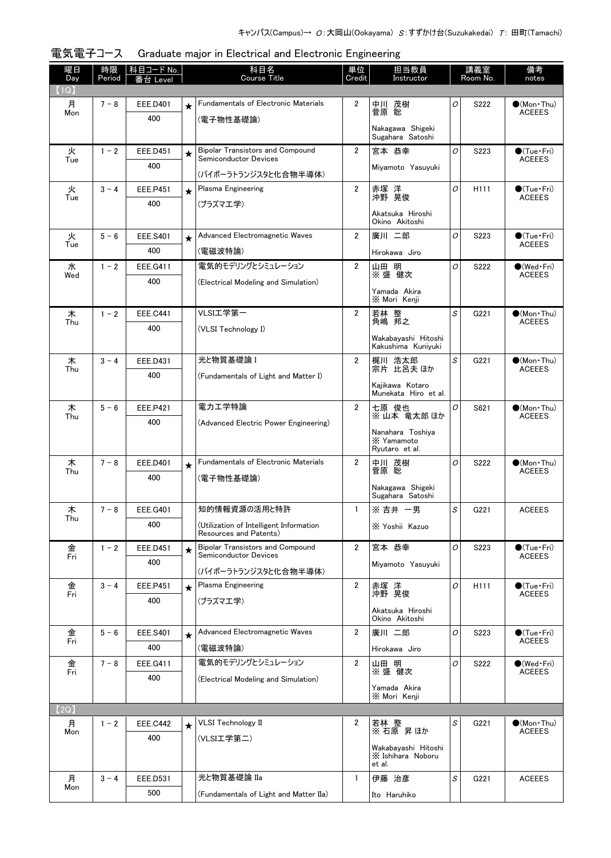| 曜日<br>Day | 時限<br>Period | 科目コード No.<br>i台 Level |         | 科目名<br><b>Course Title</b>                                        | 単位<br>Credit   | 担当教員<br>Instructor                       |   | 講義室<br>Room No.  | 備考<br>notes                          |
|-----------|--------------|-----------------------|---------|-------------------------------------------------------------------|----------------|------------------------------------------|---|------------------|--------------------------------------|
| (1Q)      |              |                       |         |                                                                   |                |                                          |   |                  |                                      |
| 月         | $7 - 8$      | EEE.D401              | $\star$ | <b>Fundamentals of Electronic Materials</b>                       | 2              | 中川 茂樹                                    | 0 | S222             | $\bullet$ (Mon Thu)                  |
| Mon       |              | 400                   |         | (雷子物性基礎論)                                                         |                | 菅原 聡                                     |   |                  | <b>ACEEES</b>                        |
|           |              |                       |         |                                                                   |                | Nakagawa Shigeki<br>Sugahara Satoshi     |   |                  |                                      |
| 火         | $1 - 2$      | <b>EEE.D451</b>       | $\star$ | <b>Bipolar Transistors and Compound</b>                           | $\overline{2}$ | 宮本 恭幸                                    | 0 | S223             | $\bullet$ (Tue · Fri)                |
| Tue       |              | 400                   |         | Semiconductor Devices                                             |                | Mivamoto Yasuvuki                        |   |                  | <b>ACEEES</b>                        |
|           |              |                       |         | (バイポーラトランジスタと化合物半導体)                                              |                |                                          |   |                  |                                      |
| 火<br>Tue  | $3 - 4$      | <b>EEE.P451</b>       | $\star$ | Plasma Engineering                                                | $\overline{2}$ | 赤塚 洋<br>沖野 晃俊                            | O | H <sub>111</sub> | $\bullet$ (Tue•Fri)<br><b>ACEEES</b> |
|           |              | 400                   |         | (プラズマエ学)                                                          |                | Akatsuka Hiroshi                         |   |                  |                                      |
|           |              |                       |         |                                                                   |                | Okino Akitoshi                           |   |                  |                                      |
| 火<br>Tue  | $5 - 6$      | <b>EEE.S401</b>       | $\star$ | Advanced Electromagnetic Waves                                    | $\overline{2}$ | 廣川 二郎                                    | 0 | S223             | $\bullet$ (Tue•Fri)<br><b>ACEEES</b> |
|           |              | 400                   |         | (雷磁波特論)                                                           |                | Hirokawa Jiro                            |   |                  |                                      |
| 水<br>Wed  | $1 - 2$      | EEE.G411              |         | 電気的モデリングとシミュレーション                                                 | $\overline{2}$ | 山田 明<br>※盛健次                             | 0 | S222             | $\bullet$ (Wed•Fri)<br><b>ACEEES</b> |
|           |              | 400                   |         | (Electrical Modeling and Simulation)                              |                | Yamada Akira                             |   |                  |                                      |
|           |              |                       |         |                                                                   |                | X Mori Kenji                             |   |                  |                                      |
| 木<br>Thu  | $1 - 2$      | <b>EEE.C441</b>       |         | VLSI工学第一                                                          | $\overline{2}$ | 若林 整<br>角嶋 邦之                            | S | G221             | $\bullet$ (Mon Thu)<br><b>ACEEES</b> |
|           |              | 400                   |         | (VLSI Technology I)                                               |                | Wakabayashi Hitoshi                      |   |                  |                                      |
|           |              |                       |         |                                                                   |                | Kakushima Kuniyuki                       |   |                  |                                      |
| 木<br>Thu  | $3 - 4$      | EEE.D431              |         | 光と物質基礎論 I                                                         | $\overline{2}$ | 梶川 浩太郎<br>宗片 比呂夫ほか                       | S | G221             | $\bullet$ (Mon Thu)<br><b>ACEEES</b> |
|           |              | 400                   |         | (Fundamentals of Light and Matter I)                              |                |                                          |   |                  |                                      |
|           |              |                       |         |                                                                   |                | Kajikawa Kotaro<br>Munekata Hiro et al.  |   |                  |                                      |
| 木         | $5 - 6$      | <b>EEE.P421</b>       |         | 電力エ学特論                                                            | $\overline{2}$ | 七原 俊也<br>※山本 竜太郎 ほか                      | 0 | S621             | $\bullet$ (Mon Thu)<br><b>ACEEES</b> |
| Thu       |              | 400                   |         | (Advanced Electric Power Engineering)                             |                |                                          |   |                  |                                      |
|           |              |                       |         |                                                                   |                | Nanahara Toshiya<br>X Yamamoto           |   |                  |                                      |
|           |              |                       |         | <b>Fundamentals of Electronic Materials</b>                       | $\overline{2}$ | Ryutaro et al.                           | 0 |                  |                                      |
| 木<br>Thu  | $7 - 8$      | EEE.D401<br>400       | $\star$ |                                                                   |                | 中川 茂樹<br>菅原 聡                            |   | S222             | $\bullet$ (Mon Thu)<br><b>ACEEES</b> |
|           |              |                       |         | (電子物性基礎論)                                                         |                | Nakagawa Shigeki                         |   |                  |                                      |
|           |              |                       |         | 知的情報資源の活用と特許                                                      |                | Sugahara Satoshi<br>※吉井 一男               |   |                  |                                      |
| 木<br>Thu  | $7 - 8$      | <b>EEE.G401</b>       |         |                                                                   | $\mathbf{1}$   |                                          | S | G221             | <b>ACEEES</b>                        |
|           |              | 400                   |         | (Utilization of Intelligent Information<br>Resources and Patents) |                | X Yoshii Kazuo                           |   |                  |                                      |
| 金         | $1 - 2$      | <b>EEE.D451</b>       | $\star$ | <b>Bipolar Transistors and Compound</b><br>Semiconductor Devices  | $\overline{2}$ | 宮本 恭幸                                    | 0 | S223             | $\bullet$ (Tue · Fri)                |
| Fri       |              | 400                   |         |                                                                   |                | Miyamoto Yasuyuki                        |   |                  | <b>ACEEES</b>                        |
|           | $3 - 4$      | <b>EEE.P451</b>       |         | (バイポーラトランジスタと化合物半導体)<br>Plasma Engineering                        | $\overline{2}$ |                                          | 0 | H <sub>111</sub> | $\bullet$ (Tue · Fri)                |
| 金<br>Fri  |              | 400                   | $\star$ | (プラズマエ学)                                                          |                | 赤塚 洋<br>沖野 晃俊                            |   |                  | <b>ACEEES</b>                        |
|           |              |                       |         |                                                                   |                | Akatsuka Hiroshi                         |   |                  |                                      |
| 金         | $5 - 6$      | EEE.S401              |         | Advanced Electromagnetic Waves                                    | $\overline{2}$ | Okino Akitoshi<br>廣川 二郎                  | 0 | S223             | $\bullet$ (Tue•Fri)                  |
| Fri       |              | 400                   | $\star$ | (電磁波特論)                                                           |                |                                          |   |                  | <b>ACEEES</b>                        |
|           | $7 - 8$      |                       |         | 電気的モデリングとシミュレーション                                                 | $\overline{2}$ | Hirokawa Jiro<br>山田 明                    | 0 | S222             | $\bullet$ (Wed•Fri)                  |
| 金<br>Fri  |              | EEE.G411<br>400       |         | (Electrical Modeling and Simulation)                              |                | ※盛 健次                                    |   |                  | <b>ACEEES</b>                        |
|           |              |                       |         |                                                                   |                | Yamada Akira                             |   |                  |                                      |
| (2Q)      |              |                       |         |                                                                   |                | X Mori Kenji                             |   |                  |                                      |
| 月         | $1 - 2$      | <b>EEE.C442</b>       | $\star$ | <b>VLSI Technology II</b>                                         | $\overline{2}$ | 若林 整                                     | S | G221             | $\bullet$ (Mon•Thu)                  |
| Mon       |              | 400                   |         | (VLSI工学第二)                                                        |                | ※ 石原 昇ほか                                 |   |                  | <b>ACEEES</b>                        |
|           |              |                       |         |                                                                   |                | Wakabayashi Hitoshi<br>X Ishihara Noboru |   |                  |                                      |
|           |              |                       |         |                                                                   |                | et al.                                   |   |                  |                                      |
| 月<br>Mon  | $3 - 4$      | EEE.D531              |         | 光と物質基礎論 IIa                                                       | 1              | 伊藤 治彦                                    | S | G221             | <b>ACEEES</b>                        |
|           |              | 500                   |         | (Fundamentals of Light and Matter IIa)                            |                | Ito Haruhiko                             |   |                  |                                      |

電気電子コース Graduate major in Electrical and Electronic Engineering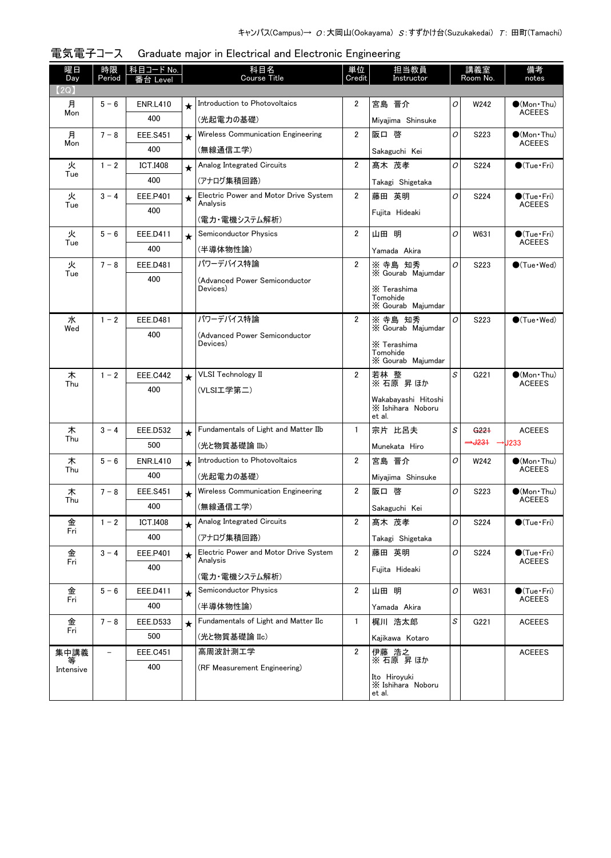| 曜日<br>Day | 時限<br>Period             | 科目コード No.<br>番台 Level |         | 科目名<br><b>Course Title</b>                | 単位<br>Credit   | 担当教員<br>Instructor                       |                | 講義室<br>Room No.                       | 備考<br>notes                            |
|-----------|--------------------------|-----------------------|---------|-------------------------------------------|----------------|------------------------------------------|----------------|---------------------------------------|----------------------------------------|
| (2Q)      |                          |                       |         |                                           |                |                                          |                |                                       |                                        |
| 月         | $5 - 6$                  | <b>ENR.L410</b>       | $\star$ | Introduction to Photovoltaics             | $\overline{2}$ | 宮島 晋介                                    | O              | W242                                  | $\bullet$ (Mon · Thu)                  |
| Mon       |                          | 400                   |         | (光起電力の基礎)                                 |                | Miyajima Shinsuke                        |                |                                       | <b>ACEEES</b>                          |
| 月         | $7 - 8$                  | <b>EEE.S451</b>       | $\star$ | Wireless Communication Engineering        | $\overline{2}$ | 阪口 啓                                     | O              | S223                                  | $\bullet$ (Mon•Thu)                    |
| Mon       |                          | 400                   |         | (無線通信工学)                                  |                | Sakaguchi Kei                            |                |                                       | <b>ACEEES</b>                          |
| 火         | $1 - 2$                  | <b>ICT.I408</b>       | $\star$ | Analog Integrated Circuits                | $\overline{2}$ | 髙木 茂孝                                    | O              | S224                                  | $\bullet$ (Tue•Fri)                    |
| Tue       |                          | 400                   |         | (アナログ集積回路)                                |                | Takagi Shigetaka                         |                |                                       |                                        |
| 火         | $3 - 4$                  | EEE.P401              | $\star$ | Electric Power and Motor Drive System     | $\overline{2}$ | 藤田 英明                                    | O              | S224                                  | $\bullet$ (Tue•Fri)                    |
| Tue       |                          | 400                   |         | Analysis                                  |                | Fujita Hideaki                           |                |                                       | <b>ACEEES</b>                          |
|           |                          |                       |         | (電力・電機システム解析)                             |                |                                          |                |                                       |                                        |
| 火<br>Tue  | $5 - 6$                  | EEE.D411              | $\star$ | <b>Semiconductor Physics</b>              | $\overline{2}$ | 山田 明                                     | O              | W631                                  | $\bullet$ (Tue · Fri)<br><b>ACEEES</b> |
|           |                          | 400                   |         | (半導体物性論)                                  |                | Yamada Akira                             |                |                                       |                                        |
| 火<br>Tue  | $7 - 8$                  | <b>EEE.D481</b>       |         | パワーデバイス特論                                 | $\overline{2}$ | ※ 寺島 知秀<br>X Gourab Majumdar             | O              | S223                                  | $\bigcirc$ (Tue · Wed)                 |
|           |                          | 400                   |         | (Advanced Power Semiconductor<br>Devices) |                | X Terashima                              |                |                                       |                                        |
|           |                          |                       |         |                                           |                | Tomohide                                 |                |                                       |                                        |
|           |                          |                       |         | パワーデバイス特論                                 | $\overline{2}$ | X Gourab Majumdar<br>※ 寺島 知秀             | O              |                                       | $\bigcirc$ (Tue · Wed)                 |
| 水<br>Wed  | $1 - 2$                  | <b>EEE.D481</b>       |         |                                           |                | X Gourab Maiumdar                        |                | S223                                  |                                        |
|           |                          | 400                   |         | (Advanced Power Semiconductor<br>Devices) |                | X Terashima                              |                |                                       |                                        |
|           |                          |                       |         |                                           |                | Tomohide<br>X Gourab Majumdar            |                |                                       |                                        |
| 木         | $1 - 2$                  | <b>EEE.C442</b>       | $\star$ | <b>VLSI</b> Technology II                 | $\overline{2}$ | 若林 整                                     | S              | G221                                  | $\bullet$ (Mon Thu)                    |
| Thu       |                          | 400                   |         | (VLSI工学第二)                                |                | ※ 石原 昇 ほか                                |                |                                       | <b>ACEEES</b>                          |
|           |                          |                       |         |                                           |                | Wakabayashi Hitoshi<br>X Ishihara Noboru |                |                                       |                                        |
|           |                          |                       |         |                                           |                | et al.                                   |                |                                       |                                        |
| 木<br>Thu  | $3 - 4$                  | <b>EEE.D532</b>       | $\star$ | Fundamentals of Light and Matter IIb      | $\mathbf{1}$   | 宗片 比呂夫                                   | S              | G221                                  | <b>ACEEES</b>                          |
|           |                          | 500                   |         | (光と物質基礎論 IIb)                             |                | Munekata Hiro                            |                | $\rightarrow$ J231 $\rightarrow$ J233 |                                        |
| 木<br>Thu  | $5 - 6$                  | <b>ENR.L410</b>       | $\star$ | Introduction to Photovoltaics             | 2              | 宮島 晋介                                    | $\overline{O}$ | W242                                  | $\bullet$ (Mon Thu)<br><b>ACEEES</b>   |
|           |                          | 400                   |         | (光起電力の基礎)                                 |                | Miyajima Shinsuke                        |                |                                       |                                        |
| 木         | $7 - 8$                  | <b>EEE.S451</b>       | $\star$ | Wireless Communication Engineering        | $\overline{2}$ | 阪口 啓                                     | O              | S223                                  | $(Mon$ Thu)                            |
| Thu       |                          | 400                   |         | (無線通信工学)                                  |                | Sakaguchi Kei                            |                |                                       | <b>ACEEES</b>                          |
| 金         | $1 - 2$                  | <b>ICT.I408</b>       | $\star$ | Analog Integrated Circuits                | 2              | 髙木 茂孝                                    | О              | S224                                  | $\bullet$ (Tue · Fri)                  |
| Fri       |                          | 400                   |         | (アナログ集積回路)                                |                | Takagi Shigetaka                         |                |                                       |                                        |
| 金         | $3 - 4$                  | EEE.P401              | $\star$ | Electric Power and Motor Drive System     | $\overline{2}$ | 藤田 英明                                    | O              | S224                                  | $\bigcirc$ (Tue·Fri)                   |
| Fri       |                          | 400                   |         | Analysis                                  |                | Fujita Hideaki                           |                |                                       | <b>ACEEES</b>                          |
|           |                          |                       |         | (電力・電機システム解析)                             |                |                                          |                |                                       |                                        |
| 金<br>Fri  | $5 - 6$                  | EEE.D411              | $\star$ | Semiconductor Physics                     | 2              | 山田 明                                     | O              | W631                                  | $\bullet$ (Tue · Fri)<br><b>ACEEES</b> |
|           |                          | 400                   |         | (半導体物性論)                                  |                | Yamada Akira                             |                |                                       |                                        |
| 金<br>Fri  | $7 - 8$                  | EEE.D533              | $\star$ | Fundamentals of Light and Matter IIc      | $\mathbf{1}$   | 梶川 浩太郎                                   | S              | G221                                  | <b>ACEEES</b>                          |
|           |                          | 500                   |         | (光と物質基礎論 IIc)                             |                | Kajikawa Kotaro                          |                |                                       |                                        |
| 集中講義      | $\overline{\phantom{0}}$ | <b>EEE.C451</b>       |         | 高周波計測工学                                   | $\overline{2}$ | 伊藤 浩之<br>※ 石原 昇ほか                        |                |                                       | <b>ACEEES</b>                          |
| Intensive |                          | 400                   |         | (RF Measurement Engineering)              |                | Ito Hiroyuki                             |                |                                       |                                        |
|           |                          |                       |         |                                           |                | X Ishihara Noboru<br>et al.              |                |                                       |                                        |

| 電気電子コース Graduate major in Electrical and Electronic Engineering |  |  |  |
|-----------------------------------------------------------------|--|--|--|
|                                                                 |  |  |  |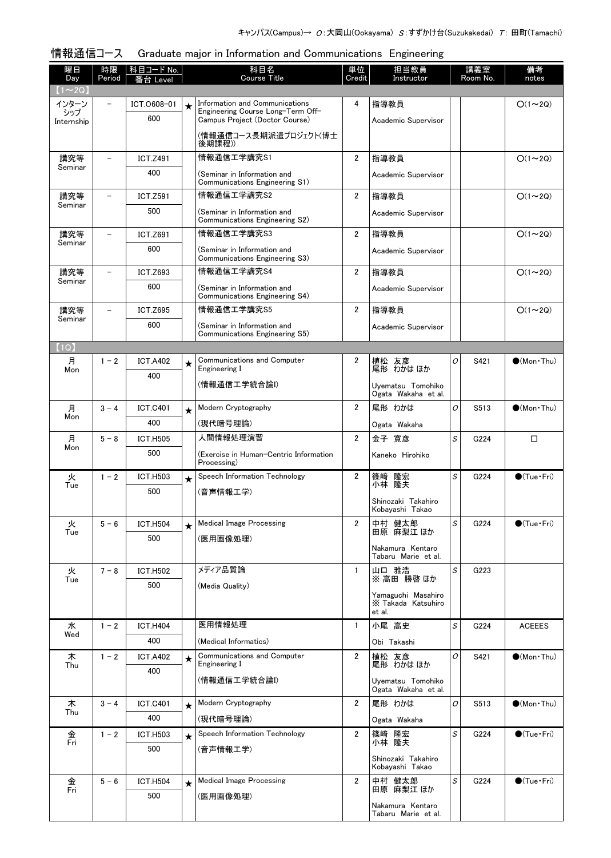| 曜日<br>Day      | 時限<br>Period             | <u>科目コード No.</u><br>番台 Level |         | 科目名<br>Course Title                                                 | 単位<br>Credit            | 担当教員<br>Instructor                       |   | 講義室<br>Room No. | 備考<br>notes           |
|----------------|--------------------------|------------------------------|---------|---------------------------------------------------------------------|-------------------------|------------------------------------------|---|-----------------|-----------------------|
| $(1\sim 2Q)$   |                          |                              |         |                                                                     |                         |                                          |   |                 |                       |
| インターン<br>シップ   | $\equiv$                 | ICT.0608-01                  | $\star$ | Information and Communications<br>Engineering Course Long-Term Off- | 4                       | 指導教員                                     |   |                 | $O(1\sim 2Q)$         |
| Internship     |                          | 600                          |         | Campus Project (Doctor Course)<br>(情報通信コース長期派遣プロジェクト(博士             |                         | Academic Supervisor                      |   |                 |                       |
|                |                          |                              |         | 後期課程))                                                              |                         |                                          |   |                 |                       |
| 講究等<br>Seminar |                          | <b>ICT.Z491</b>              |         | 情報通信工学講究S1                                                          | $\overline{2}$          | 指導教員                                     |   |                 | $O(1\sim 2Q)$         |
|                |                          | 400                          |         | (Seminar in Information and<br>Communications Engineering S1)       |                         | Academic Supervisor                      |   |                 |                       |
| 講究等<br>Seminar | $\overline{\phantom{0}}$ | <b>ICT.Z591</b>              |         | 情報通信工学講究S2                                                          | $\overline{2}$          | 指導教員                                     |   |                 | $O(1\sim 2Q)$         |
|                |                          | 500                          |         | (Seminar in Information and<br>Communications Engineering S2)       |                         | Academic Supervisor                      |   |                 |                       |
| 講究等            |                          | <b>ICT.Z691</b>              |         | 情報通信工学講究S3                                                          | $\overline{2}$          | 指導教員                                     |   |                 | $O(1\sim 2Q)$         |
| Seminar        |                          | 600                          |         | (Seminar in Information and<br>Communications Engineering S3)       |                         | Academic Supervisor                      |   |                 |                       |
| 講究等            |                          | <b>ICT.Z693</b>              |         | 情報通信工学講究S4                                                          | $\overline{2}$          | 指導教員                                     |   |                 | $O(1\sim 2Q)$         |
| Seminar        |                          | 600                          |         | (Seminar in Information and<br>Communications Engineering S4)       |                         | Academic Supervisor                      |   |                 |                       |
| 講究等            |                          | <b>ICT.Z695</b>              |         | 情報通信工学講究S5                                                          | $\overline{\mathbf{2}}$ | 指導教員                                     |   |                 | $O(1\sim 2Q)$         |
| Seminar        |                          | 600                          |         | (Seminar in Information and<br>Communications Engineering S5)       |                         | Academic Supervisor                      |   |                 |                       |
| (1Q)           |                          |                              |         |                                                                     |                         |                                          |   |                 |                       |
| 月              | $1 - 2$                  | <b>ICT.A402</b>              | ★       | Communications and Computer                                         | 2                       | 植松 友彦<br>尾形 わかはほか                        | 0 | S421            | $\bigcirc$ (Mon Thu)  |
| Mon            |                          | 400                          |         | Engineering I                                                       |                         |                                          |   |                 |                       |
|                |                          |                              |         | (情報通信工学統合論I)                                                        |                         | Uyematsu Tomohiko<br>Ogata Wakaha et al. |   |                 |                       |
| 月<br>Mon       | $3 - 4$                  | <b>ICT.C401</b>              | $\star$ | Modern Cryptography                                                 | $\overline{2}$          | 尾形 わかは                                   | 0 | S513            | $\bullet$ (Mon Thu)   |
|                |                          | 400                          |         | (現代暗号理論)                                                            |                         | Ogata Wakaha                             |   |                 |                       |
| 月<br>Mon       | $5 - 8$                  | <b>ICT.H505</b>              |         | 人間情報処理演習                                                            | $\overline{2}$          | 金子 寛彦                                    | S | G224            | $\Box$                |
|                |                          | 500                          |         | (Exercise in Human-Centric Information<br>Processing)               |                         | Kaneko Hirohiko                          |   |                 |                       |
| 火<br>Tue       | $1 - 2$                  | <b>ICT.H503</b>              | $\star$ | Speech Information Technology                                       | $\overline{2}$          | 篠﨑 隆宏<br>小林 隆夫                           | S | G224            | $\bullet$ (Tue · Fri) |
|                |                          | 500                          |         | (音声情報工学)                                                            |                         | Shinozaki Takahiro                       |   |                 |                       |
|                |                          |                              |         |                                                                     |                         | Kobayashi Takao                          |   |                 |                       |
| 火<br>Tue       | $5 - 6$                  | <b>ICT.H504</b>              | $\star$ | <b>Medical Image Processing</b>                                     | 2                       | 中村 健太郎<br>田原 麻梨江 ほか                      | S | G224            | $\bullet$ (Tue · Fri) |
|                |                          | 500                          |         | (医用画像処理)                                                            |                         | Nakamura Kentaro                         |   |                 |                       |
|                |                          |                              |         |                                                                     |                         | Tabaru Marie et al.                      |   |                 |                       |
| 火<br>Tue       | $7 - 8$                  | <b>ICT.H502</b><br>500       |         | メディア品質論                                                             | 1                       | 山口 雅浩<br>※ 高田 勝啓 ほか                      | S | G223            |                       |
|                |                          |                              |         | (Media Quality)                                                     |                         | Yamaguchi Masahiro                       |   |                 |                       |
|                |                          |                              |         |                                                                     |                         | X Takada Katsuhiro<br>et al.             |   |                 |                       |
| 水              | $1 - 2$                  | <b>ICT.H404</b>              |         | 医用情報処理                                                              | $\mathbf{1}$            | 小尾 高史                                    | S | G224            | <b>ACEEES</b>         |
| Wed            |                          | 400                          |         | (Medical Informatics)                                               |                         | Obi Takashi                              |   |                 |                       |
| 木<br>Thu       | $1 - 2$                  | <b>ICT.A402</b>              | $\star$ | Communications and Computer<br>Engineering I                        | $\overline{2}$          | 植松 友彦<br>尾形 わかは ほか                       | O | S421            | $\bullet$ (Mon Thu)   |
|                |                          | 400                          |         | (情報通信工学統合論I)                                                        |                         | Uyematsu Tomohiko                        |   |                 |                       |
| 木              | $3 - 4$                  | <b>ICT.C401</b>              |         | Modern Cryptography                                                 | $\overline{2}$          | Ogata Wakaha et al.<br>尾形 わかは            | 0 | S513            | $\bullet$ (Mon Thu)   |
| Thu            |                          | 400                          | $\star$ | (現代暗号理論)                                                            |                         | Ogata Wakaha                             |   |                 |                       |
| 金              | $1 - 2$                  | <b>ICT.H503</b>              | $\star$ | Speech Information Technology                                       | 2                       |                                          | S | G224            | $\bigcirc$ (Tue·Fri)  |
| Fri            |                          | 500                          |         | (音声情報工学)                                                            |                         | 篠﨑 隆宏<br>小林 隆夫                           |   |                 |                       |
|                |                          |                              |         |                                                                     |                         | Shinozaki Takahiro<br>Kobayashi Takao    |   |                 |                       |
| 金              | $5 - 6$                  | <b>ICT.H504</b>              | $\star$ | <b>Medical Image Processing</b>                                     | 2                       | 中村 健太郎<br>田原 麻梨江 ほか                      | S | G224            | $\bullet$ (Tue · Fri) |
| Fri            |                          | 500                          |         | (医用画像処理)                                                            |                         |                                          |   |                 |                       |
|                |                          |                              |         |                                                                     |                         | Nakamura Kentaro<br>Tabaru Marie et al.  |   |                 |                       |

# 情報通信コース Graduate major in Information and Communications Engineering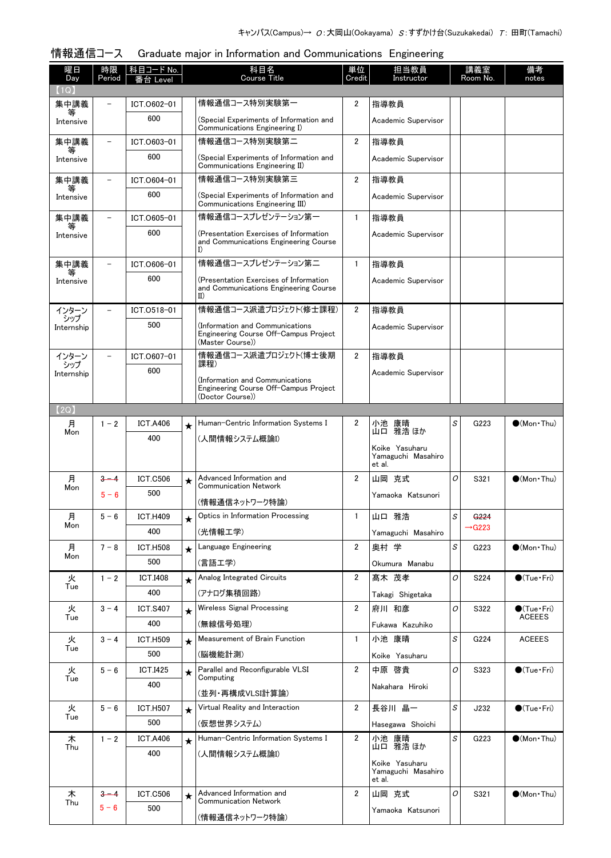#### 情報通信コース Graduate major in Information and Communications Engineering

| <b>Course Title</b><br>Day<br>Credit<br>Room No.<br>Period<br>Instructor<br>notes<br>番台 Level<br>(1Q)<br>情報通信コース特別実験第一<br>2<br>集中講義<br>ICT.0602-01<br>指導教員<br>等<br>600<br>(Special Experiments of Information and<br>Academic Supervisor<br>Intensive<br>Communications Engineering I)<br>情報通信コース特別実験第二<br>$\overline{2}$<br>集中講義<br>ICT.0603-01<br>指導教員<br>600<br>(Special Experiments of Information and<br>Academic Supervisor<br>Intensive<br>Communications Engineering II)<br>情報通信コース特別実験第三<br>$\overline{2}$<br>指導教員<br>集中講義<br>ICT.0604-01<br>600<br>(Special Experiments of Information and<br>Academic Supervisor<br>Intensive<br>Communications Engineering III)<br>情報通信コースプレゼンテーション第一<br>$\mathbf{1}$<br>集中講義<br>ICT.0605-01<br>指導教員<br>600<br>(Presentation Exercises of Information<br>Academic Supervisor<br>Intensive<br>and Communications Engineering Course<br>I)<br>情報通信コースプレゼンテーション第二<br>$\mathbf{1}$<br>集中講義<br>指導教員<br>ICT.0606-01<br>600<br>(Presentation Exercises of Information<br>Academic Supervisor<br>Intensive<br>and Communications Engineering Course<br>$_{II}$<br>情報通信コース派遣プロジェクト(修士課程)<br>$\overline{2}$<br>ICT.0518-01<br>指導教員<br>インターン<br>シップ<br>500<br>(Information and Communications<br>Academic Supervisor<br>Internship<br>Engineering Course Off-Campus Project<br>(Master Course))<br>情報通信コース派遣プロジェクト(博士後期<br>インターン<br>・シップ<br>ICT.0607-01<br>$\overline{2}$<br>指導教員<br>課程)<br>600<br>Academic Supervisor<br>Internship<br>(Information and Communications<br>Engineering Course Off-Campus Project<br>(Doctor Course))<br>(2Q)<br>Human-Centric Information Systems I<br>月<br>2<br>小池 康晴<br>S<br>G223<br>$\bigcirc$ (Mon Thu)<br>$1 - 2$<br><b>ICT.A406</b><br>$\star$<br>山口 雅浩 ほか<br>Mon<br>400<br>(人間情報システム概論I)<br>Koike Yasuharu<br>Yamaguchi Masahiro<br>et al.<br>月<br>Advanced Information and<br>$\overline{2}$<br>山岡 克式<br>0<br>$3 - 4$<br><b>ICT.C506</b><br>S321<br>$\bigcirc$ (Mon Thu)<br>$\bigstar$<br><b>Communication Network</b><br>Mon<br>500<br>$5 - 6$<br>Yamaoka Katsunori<br>(情報通信ネットワーク特論)<br>$5 - 6$<br><b>ICT.H409</b><br>Optics in Information Processing<br>$\mathbf{1}$<br>山口 雅浩<br>S<br>G <sub>224</sub><br>月<br>$\star$<br>Mon<br>$\rightarrow$ G223<br>400<br>(光情報工学)<br>Yamaguchi Masahiro<br>Language Engineering<br>2<br>奥村 学<br>S<br>月<br>$7 - 8$<br><b>ICT.H508</b><br>G223<br>$\bullet$ (Mon Thu)<br>$\star$<br>Mon<br>500<br>(言語工学)<br>Okumura Manabu<br>Analog Integrated Circuits<br>$\overline{2}$<br>髙木 茂孝<br>火<br>$1 - 2$<br><b>ICT.I408</b><br>0<br>S224<br>$\bullet$ (Tue · Fri)<br>$\star$<br>Tue<br>400<br>(アナログ集積回路)<br>Takagi Shigetaka<br><b>Wireless Signal Processing</b><br>$\overline{2}$<br>府川 和彦<br>0<br>S322<br>火<br>$3 - 4$<br><b>ICT.S407</b><br>$\bullet$ (Tue•Fri)<br>$\star$<br>Tue<br><b>ACEEES</b><br>400<br>(無線信号処理)<br>Fukawa Kazuhiko<br>Measurement of Brain Function<br>小池 康晴<br>S<br>$\mathbf{1}$<br>G224<br><b>ACEEES</b><br>火<br>$3 - 4$<br><b>ICT.H509</b><br>$\star$<br>Tue<br>500<br>(脳機能計測)<br>Koike Yasuharu<br>火<br>$5 - 6$<br>Parallel and Reconfigurable VLSI<br>$\overline{2}$<br>中原 啓貴<br><b>ICT.I425</b><br>0<br>S323<br>$\bigcirc$ (Tue · Fri)<br>$\star$<br>Computing<br>Tue<br>400<br>Nakahara Hiroki<br>(並列・再構成VLSI計算論)<br>Virtual Reality and Interaction<br>$\overline{2}$<br>長谷川 晶一<br>S<br>火<br>J232<br>$\bullet$ (Tue · Fri)<br>$5 - 6$<br><b>ICT.H507</b><br>$\star$<br>Tue<br>500<br>(仮想世界システム)<br>Hasegawa Shoichi<br>木<br>Human-Centric Information Systems I<br>$\overline{2}$<br>$\mathcal{S}% _{CS}^{(n)}:=\mathcal{S}_{CS}^{(n)}$<br>$1 - 2$<br>小池 康晴<br>G223<br>$\bullet$ (Mon Thu)<br><b>ICT.A406</b><br>$\star$<br>山口 雅浩 ほか<br>Thu<br>400<br>(人間情報システム概論I)<br>Koike Yasuharu<br>Yamaguchi Masahiro<br>et al.<br>木<br>Advanced Information and<br>$\overline{2}$<br>山岡 克式<br>0<br>$3 - 4$<br><b>ICT.C506</b><br>S321<br>$\bullet$ (Mon Thu)<br>$\star$<br><b>Communication Network</b><br>Thu<br>$5 - 6$<br>500<br>Yamaoka Katsunori<br>(情報通信ネットワーク特論) | ᇚᇌᅹᄖ<br>曜日 | 時限 | araaaaco maj<br><u>科目コード No.</u> | 科目名 | 単位 | 担当教員 |  | 講義室 | 備考 |
|------------------------------------------------------------------------------------------------------------------------------------------------------------------------------------------------------------------------------------------------------------------------------------------------------------------------------------------------------------------------------------------------------------------------------------------------------------------------------------------------------------------------------------------------------------------------------------------------------------------------------------------------------------------------------------------------------------------------------------------------------------------------------------------------------------------------------------------------------------------------------------------------------------------------------------------------------------------------------------------------------------------------------------------------------------------------------------------------------------------------------------------------------------------------------------------------------------------------------------------------------------------------------------------------------------------------------------------------------------------------------------------------------------------------------------------------------------------------------------------------------------------------------------------------------------------------------------------------------------------------------------------------------------------------------------------------------------------------------------------------------------------------------------------------------------------------------------------------------------------------------------------------------------------------------------------------------------------------------------------------------------------------------------------------------------------------------------------------------------------------------------------------------------------------------------------------------------------------------------------------------------------------------------------------------------------------------------------------------------------------------------------------------------------------------------------------------------------------------------------------------------------------------------------------------------------------------------------------------------------------------------------------------------------------------------------------------------------------------------------------------------------------------------------------------------------------------------------------------------------------------------------------------------------------------------------------------------------------------------------------------------------------------------------------------------------------------------------------------------------------------------------------------------------------------------------------------------------------------------------------------------------------------------------------------------------------------------------------------------------------------------------------------------------------------------------------------------------------------------------------------------------------------------------------------------------------------------------------------------------------------------------------------------------------------------------------------------------------------------------------------------------------------------------------------------------------------------------------------------------------------------------------------------------------------------------------------------------------------------------------------------|------------|----|----------------------------------|-----|----|------|--|-----|----|
|                                                                                                                                                                                                                                                                                                                                                                                                                                                                                                                                                                                                                                                                                                                                                                                                                                                                                                                                                                                                                                                                                                                                                                                                                                                                                                                                                                                                                                                                                                                                                                                                                                                                                                                                                                                                                                                                                                                                                                                                                                                                                                                                                                                                                                                                                                                                                                                                                                                                                                                                                                                                                                                                                                                                                                                                                                                                                                                                                                                                                                                                                                                                                                                                                                                                                                                                                                                                                                                                                                                                                                                                                                                                                                                                                                                                                                                                                                                                                                                                            |            |    |                                  |     |    |      |  |     |    |
|                                                                                                                                                                                                                                                                                                                                                                                                                                                                                                                                                                                                                                                                                                                                                                                                                                                                                                                                                                                                                                                                                                                                                                                                                                                                                                                                                                                                                                                                                                                                                                                                                                                                                                                                                                                                                                                                                                                                                                                                                                                                                                                                                                                                                                                                                                                                                                                                                                                                                                                                                                                                                                                                                                                                                                                                                                                                                                                                                                                                                                                                                                                                                                                                                                                                                                                                                                                                                                                                                                                                                                                                                                                                                                                                                                                                                                                                                                                                                                                                            |            |    |                                  |     |    |      |  |     |    |
|                                                                                                                                                                                                                                                                                                                                                                                                                                                                                                                                                                                                                                                                                                                                                                                                                                                                                                                                                                                                                                                                                                                                                                                                                                                                                                                                                                                                                                                                                                                                                                                                                                                                                                                                                                                                                                                                                                                                                                                                                                                                                                                                                                                                                                                                                                                                                                                                                                                                                                                                                                                                                                                                                                                                                                                                                                                                                                                                                                                                                                                                                                                                                                                                                                                                                                                                                                                                                                                                                                                                                                                                                                                                                                                                                                                                                                                                                                                                                                                                            |            |    |                                  |     |    |      |  |     |    |
|                                                                                                                                                                                                                                                                                                                                                                                                                                                                                                                                                                                                                                                                                                                                                                                                                                                                                                                                                                                                                                                                                                                                                                                                                                                                                                                                                                                                                                                                                                                                                                                                                                                                                                                                                                                                                                                                                                                                                                                                                                                                                                                                                                                                                                                                                                                                                                                                                                                                                                                                                                                                                                                                                                                                                                                                                                                                                                                                                                                                                                                                                                                                                                                                                                                                                                                                                                                                                                                                                                                                                                                                                                                                                                                                                                                                                                                                                                                                                                                                            |            |    |                                  |     |    |      |  |     |    |
|                                                                                                                                                                                                                                                                                                                                                                                                                                                                                                                                                                                                                                                                                                                                                                                                                                                                                                                                                                                                                                                                                                                                                                                                                                                                                                                                                                                                                                                                                                                                                                                                                                                                                                                                                                                                                                                                                                                                                                                                                                                                                                                                                                                                                                                                                                                                                                                                                                                                                                                                                                                                                                                                                                                                                                                                                                                                                                                                                                                                                                                                                                                                                                                                                                                                                                                                                                                                                                                                                                                                                                                                                                                                                                                                                                                                                                                                                                                                                                                                            |            |    |                                  |     |    |      |  |     |    |
|                                                                                                                                                                                                                                                                                                                                                                                                                                                                                                                                                                                                                                                                                                                                                                                                                                                                                                                                                                                                                                                                                                                                                                                                                                                                                                                                                                                                                                                                                                                                                                                                                                                                                                                                                                                                                                                                                                                                                                                                                                                                                                                                                                                                                                                                                                                                                                                                                                                                                                                                                                                                                                                                                                                                                                                                                                                                                                                                                                                                                                                                                                                                                                                                                                                                                                                                                                                                                                                                                                                                                                                                                                                                                                                                                                                                                                                                                                                                                                                                            |            |    |                                  |     |    |      |  |     |    |
|                                                                                                                                                                                                                                                                                                                                                                                                                                                                                                                                                                                                                                                                                                                                                                                                                                                                                                                                                                                                                                                                                                                                                                                                                                                                                                                                                                                                                                                                                                                                                                                                                                                                                                                                                                                                                                                                                                                                                                                                                                                                                                                                                                                                                                                                                                                                                                                                                                                                                                                                                                                                                                                                                                                                                                                                                                                                                                                                                                                                                                                                                                                                                                                                                                                                                                                                                                                                                                                                                                                                                                                                                                                                                                                                                                                                                                                                                                                                                                                                            |            |    |                                  |     |    |      |  |     |    |
|                                                                                                                                                                                                                                                                                                                                                                                                                                                                                                                                                                                                                                                                                                                                                                                                                                                                                                                                                                                                                                                                                                                                                                                                                                                                                                                                                                                                                                                                                                                                                                                                                                                                                                                                                                                                                                                                                                                                                                                                                                                                                                                                                                                                                                                                                                                                                                                                                                                                                                                                                                                                                                                                                                                                                                                                                                                                                                                                                                                                                                                                                                                                                                                                                                                                                                                                                                                                                                                                                                                                                                                                                                                                                                                                                                                                                                                                                                                                                                                                            |            |    |                                  |     |    |      |  |     |    |
|                                                                                                                                                                                                                                                                                                                                                                                                                                                                                                                                                                                                                                                                                                                                                                                                                                                                                                                                                                                                                                                                                                                                                                                                                                                                                                                                                                                                                                                                                                                                                                                                                                                                                                                                                                                                                                                                                                                                                                                                                                                                                                                                                                                                                                                                                                                                                                                                                                                                                                                                                                                                                                                                                                                                                                                                                                                                                                                                                                                                                                                                                                                                                                                                                                                                                                                                                                                                                                                                                                                                                                                                                                                                                                                                                                                                                                                                                                                                                                                                            |            |    |                                  |     |    |      |  |     |    |
|                                                                                                                                                                                                                                                                                                                                                                                                                                                                                                                                                                                                                                                                                                                                                                                                                                                                                                                                                                                                                                                                                                                                                                                                                                                                                                                                                                                                                                                                                                                                                                                                                                                                                                                                                                                                                                                                                                                                                                                                                                                                                                                                                                                                                                                                                                                                                                                                                                                                                                                                                                                                                                                                                                                                                                                                                                                                                                                                                                                                                                                                                                                                                                                                                                                                                                                                                                                                                                                                                                                                                                                                                                                                                                                                                                                                                                                                                                                                                                                                            |            |    |                                  |     |    |      |  |     |    |
|                                                                                                                                                                                                                                                                                                                                                                                                                                                                                                                                                                                                                                                                                                                                                                                                                                                                                                                                                                                                                                                                                                                                                                                                                                                                                                                                                                                                                                                                                                                                                                                                                                                                                                                                                                                                                                                                                                                                                                                                                                                                                                                                                                                                                                                                                                                                                                                                                                                                                                                                                                                                                                                                                                                                                                                                                                                                                                                                                                                                                                                                                                                                                                                                                                                                                                                                                                                                                                                                                                                                                                                                                                                                                                                                                                                                                                                                                                                                                                                                            |            |    |                                  |     |    |      |  |     |    |
|                                                                                                                                                                                                                                                                                                                                                                                                                                                                                                                                                                                                                                                                                                                                                                                                                                                                                                                                                                                                                                                                                                                                                                                                                                                                                                                                                                                                                                                                                                                                                                                                                                                                                                                                                                                                                                                                                                                                                                                                                                                                                                                                                                                                                                                                                                                                                                                                                                                                                                                                                                                                                                                                                                                                                                                                                                                                                                                                                                                                                                                                                                                                                                                                                                                                                                                                                                                                                                                                                                                                                                                                                                                                                                                                                                                                                                                                                                                                                                                                            |            |    |                                  |     |    |      |  |     |    |
|                                                                                                                                                                                                                                                                                                                                                                                                                                                                                                                                                                                                                                                                                                                                                                                                                                                                                                                                                                                                                                                                                                                                                                                                                                                                                                                                                                                                                                                                                                                                                                                                                                                                                                                                                                                                                                                                                                                                                                                                                                                                                                                                                                                                                                                                                                                                                                                                                                                                                                                                                                                                                                                                                                                                                                                                                                                                                                                                                                                                                                                                                                                                                                                                                                                                                                                                                                                                                                                                                                                                                                                                                                                                                                                                                                                                                                                                                                                                                                                                            |            |    |                                  |     |    |      |  |     |    |
|                                                                                                                                                                                                                                                                                                                                                                                                                                                                                                                                                                                                                                                                                                                                                                                                                                                                                                                                                                                                                                                                                                                                                                                                                                                                                                                                                                                                                                                                                                                                                                                                                                                                                                                                                                                                                                                                                                                                                                                                                                                                                                                                                                                                                                                                                                                                                                                                                                                                                                                                                                                                                                                                                                                                                                                                                                                                                                                                                                                                                                                                                                                                                                                                                                                                                                                                                                                                                                                                                                                                                                                                                                                                                                                                                                                                                                                                                                                                                                                                            |            |    |                                  |     |    |      |  |     |    |
|                                                                                                                                                                                                                                                                                                                                                                                                                                                                                                                                                                                                                                                                                                                                                                                                                                                                                                                                                                                                                                                                                                                                                                                                                                                                                                                                                                                                                                                                                                                                                                                                                                                                                                                                                                                                                                                                                                                                                                                                                                                                                                                                                                                                                                                                                                                                                                                                                                                                                                                                                                                                                                                                                                                                                                                                                                                                                                                                                                                                                                                                                                                                                                                                                                                                                                                                                                                                                                                                                                                                                                                                                                                                                                                                                                                                                                                                                                                                                                                                            |            |    |                                  |     |    |      |  |     |    |
|                                                                                                                                                                                                                                                                                                                                                                                                                                                                                                                                                                                                                                                                                                                                                                                                                                                                                                                                                                                                                                                                                                                                                                                                                                                                                                                                                                                                                                                                                                                                                                                                                                                                                                                                                                                                                                                                                                                                                                                                                                                                                                                                                                                                                                                                                                                                                                                                                                                                                                                                                                                                                                                                                                                                                                                                                                                                                                                                                                                                                                                                                                                                                                                                                                                                                                                                                                                                                                                                                                                                                                                                                                                                                                                                                                                                                                                                                                                                                                                                            |            |    |                                  |     |    |      |  |     |    |
|                                                                                                                                                                                                                                                                                                                                                                                                                                                                                                                                                                                                                                                                                                                                                                                                                                                                                                                                                                                                                                                                                                                                                                                                                                                                                                                                                                                                                                                                                                                                                                                                                                                                                                                                                                                                                                                                                                                                                                                                                                                                                                                                                                                                                                                                                                                                                                                                                                                                                                                                                                                                                                                                                                                                                                                                                                                                                                                                                                                                                                                                                                                                                                                                                                                                                                                                                                                                                                                                                                                                                                                                                                                                                                                                                                                                                                                                                                                                                                                                            |            |    |                                  |     |    |      |  |     |    |
|                                                                                                                                                                                                                                                                                                                                                                                                                                                                                                                                                                                                                                                                                                                                                                                                                                                                                                                                                                                                                                                                                                                                                                                                                                                                                                                                                                                                                                                                                                                                                                                                                                                                                                                                                                                                                                                                                                                                                                                                                                                                                                                                                                                                                                                                                                                                                                                                                                                                                                                                                                                                                                                                                                                                                                                                                                                                                                                                                                                                                                                                                                                                                                                                                                                                                                                                                                                                                                                                                                                                                                                                                                                                                                                                                                                                                                                                                                                                                                                                            |            |    |                                  |     |    |      |  |     |    |
|                                                                                                                                                                                                                                                                                                                                                                                                                                                                                                                                                                                                                                                                                                                                                                                                                                                                                                                                                                                                                                                                                                                                                                                                                                                                                                                                                                                                                                                                                                                                                                                                                                                                                                                                                                                                                                                                                                                                                                                                                                                                                                                                                                                                                                                                                                                                                                                                                                                                                                                                                                                                                                                                                                                                                                                                                                                                                                                                                                                                                                                                                                                                                                                                                                                                                                                                                                                                                                                                                                                                                                                                                                                                                                                                                                                                                                                                                                                                                                                                            |            |    |                                  |     |    |      |  |     |    |
|                                                                                                                                                                                                                                                                                                                                                                                                                                                                                                                                                                                                                                                                                                                                                                                                                                                                                                                                                                                                                                                                                                                                                                                                                                                                                                                                                                                                                                                                                                                                                                                                                                                                                                                                                                                                                                                                                                                                                                                                                                                                                                                                                                                                                                                                                                                                                                                                                                                                                                                                                                                                                                                                                                                                                                                                                                                                                                                                                                                                                                                                                                                                                                                                                                                                                                                                                                                                                                                                                                                                                                                                                                                                                                                                                                                                                                                                                                                                                                                                            |            |    |                                  |     |    |      |  |     |    |
|                                                                                                                                                                                                                                                                                                                                                                                                                                                                                                                                                                                                                                                                                                                                                                                                                                                                                                                                                                                                                                                                                                                                                                                                                                                                                                                                                                                                                                                                                                                                                                                                                                                                                                                                                                                                                                                                                                                                                                                                                                                                                                                                                                                                                                                                                                                                                                                                                                                                                                                                                                                                                                                                                                                                                                                                                                                                                                                                                                                                                                                                                                                                                                                                                                                                                                                                                                                                                                                                                                                                                                                                                                                                                                                                                                                                                                                                                                                                                                                                            |            |    |                                  |     |    |      |  |     |    |
|                                                                                                                                                                                                                                                                                                                                                                                                                                                                                                                                                                                                                                                                                                                                                                                                                                                                                                                                                                                                                                                                                                                                                                                                                                                                                                                                                                                                                                                                                                                                                                                                                                                                                                                                                                                                                                                                                                                                                                                                                                                                                                                                                                                                                                                                                                                                                                                                                                                                                                                                                                                                                                                                                                                                                                                                                                                                                                                                                                                                                                                                                                                                                                                                                                                                                                                                                                                                                                                                                                                                                                                                                                                                                                                                                                                                                                                                                                                                                                                                            |            |    |                                  |     |    |      |  |     |    |
|                                                                                                                                                                                                                                                                                                                                                                                                                                                                                                                                                                                                                                                                                                                                                                                                                                                                                                                                                                                                                                                                                                                                                                                                                                                                                                                                                                                                                                                                                                                                                                                                                                                                                                                                                                                                                                                                                                                                                                                                                                                                                                                                                                                                                                                                                                                                                                                                                                                                                                                                                                                                                                                                                                                                                                                                                                                                                                                                                                                                                                                                                                                                                                                                                                                                                                                                                                                                                                                                                                                                                                                                                                                                                                                                                                                                                                                                                                                                                                                                            |            |    |                                  |     |    |      |  |     |    |
|                                                                                                                                                                                                                                                                                                                                                                                                                                                                                                                                                                                                                                                                                                                                                                                                                                                                                                                                                                                                                                                                                                                                                                                                                                                                                                                                                                                                                                                                                                                                                                                                                                                                                                                                                                                                                                                                                                                                                                                                                                                                                                                                                                                                                                                                                                                                                                                                                                                                                                                                                                                                                                                                                                                                                                                                                                                                                                                                                                                                                                                                                                                                                                                                                                                                                                                                                                                                                                                                                                                                                                                                                                                                                                                                                                                                                                                                                                                                                                                                            |            |    |                                  |     |    |      |  |     |    |
|                                                                                                                                                                                                                                                                                                                                                                                                                                                                                                                                                                                                                                                                                                                                                                                                                                                                                                                                                                                                                                                                                                                                                                                                                                                                                                                                                                                                                                                                                                                                                                                                                                                                                                                                                                                                                                                                                                                                                                                                                                                                                                                                                                                                                                                                                                                                                                                                                                                                                                                                                                                                                                                                                                                                                                                                                                                                                                                                                                                                                                                                                                                                                                                                                                                                                                                                                                                                                                                                                                                                                                                                                                                                                                                                                                                                                                                                                                                                                                                                            |            |    |                                  |     |    |      |  |     |    |
|                                                                                                                                                                                                                                                                                                                                                                                                                                                                                                                                                                                                                                                                                                                                                                                                                                                                                                                                                                                                                                                                                                                                                                                                                                                                                                                                                                                                                                                                                                                                                                                                                                                                                                                                                                                                                                                                                                                                                                                                                                                                                                                                                                                                                                                                                                                                                                                                                                                                                                                                                                                                                                                                                                                                                                                                                                                                                                                                                                                                                                                                                                                                                                                                                                                                                                                                                                                                                                                                                                                                                                                                                                                                                                                                                                                                                                                                                                                                                                                                            |            |    |                                  |     |    |      |  |     |    |
|                                                                                                                                                                                                                                                                                                                                                                                                                                                                                                                                                                                                                                                                                                                                                                                                                                                                                                                                                                                                                                                                                                                                                                                                                                                                                                                                                                                                                                                                                                                                                                                                                                                                                                                                                                                                                                                                                                                                                                                                                                                                                                                                                                                                                                                                                                                                                                                                                                                                                                                                                                                                                                                                                                                                                                                                                                                                                                                                                                                                                                                                                                                                                                                                                                                                                                                                                                                                                                                                                                                                                                                                                                                                                                                                                                                                                                                                                                                                                                                                            |            |    |                                  |     |    |      |  |     |    |
|                                                                                                                                                                                                                                                                                                                                                                                                                                                                                                                                                                                                                                                                                                                                                                                                                                                                                                                                                                                                                                                                                                                                                                                                                                                                                                                                                                                                                                                                                                                                                                                                                                                                                                                                                                                                                                                                                                                                                                                                                                                                                                                                                                                                                                                                                                                                                                                                                                                                                                                                                                                                                                                                                                                                                                                                                                                                                                                                                                                                                                                                                                                                                                                                                                                                                                                                                                                                                                                                                                                                                                                                                                                                                                                                                                                                                                                                                                                                                                                                            |            |    |                                  |     |    |      |  |     |    |
|                                                                                                                                                                                                                                                                                                                                                                                                                                                                                                                                                                                                                                                                                                                                                                                                                                                                                                                                                                                                                                                                                                                                                                                                                                                                                                                                                                                                                                                                                                                                                                                                                                                                                                                                                                                                                                                                                                                                                                                                                                                                                                                                                                                                                                                                                                                                                                                                                                                                                                                                                                                                                                                                                                                                                                                                                                                                                                                                                                                                                                                                                                                                                                                                                                                                                                                                                                                                                                                                                                                                                                                                                                                                                                                                                                                                                                                                                                                                                                                                            |            |    |                                  |     |    |      |  |     |    |
|                                                                                                                                                                                                                                                                                                                                                                                                                                                                                                                                                                                                                                                                                                                                                                                                                                                                                                                                                                                                                                                                                                                                                                                                                                                                                                                                                                                                                                                                                                                                                                                                                                                                                                                                                                                                                                                                                                                                                                                                                                                                                                                                                                                                                                                                                                                                                                                                                                                                                                                                                                                                                                                                                                                                                                                                                                                                                                                                                                                                                                                                                                                                                                                                                                                                                                                                                                                                                                                                                                                                                                                                                                                                                                                                                                                                                                                                                                                                                                                                            |            |    |                                  |     |    |      |  |     |    |
|                                                                                                                                                                                                                                                                                                                                                                                                                                                                                                                                                                                                                                                                                                                                                                                                                                                                                                                                                                                                                                                                                                                                                                                                                                                                                                                                                                                                                                                                                                                                                                                                                                                                                                                                                                                                                                                                                                                                                                                                                                                                                                                                                                                                                                                                                                                                                                                                                                                                                                                                                                                                                                                                                                                                                                                                                                                                                                                                                                                                                                                                                                                                                                                                                                                                                                                                                                                                                                                                                                                                                                                                                                                                                                                                                                                                                                                                                                                                                                                                            |            |    |                                  |     |    |      |  |     |    |
|                                                                                                                                                                                                                                                                                                                                                                                                                                                                                                                                                                                                                                                                                                                                                                                                                                                                                                                                                                                                                                                                                                                                                                                                                                                                                                                                                                                                                                                                                                                                                                                                                                                                                                                                                                                                                                                                                                                                                                                                                                                                                                                                                                                                                                                                                                                                                                                                                                                                                                                                                                                                                                                                                                                                                                                                                                                                                                                                                                                                                                                                                                                                                                                                                                                                                                                                                                                                                                                                                                                                                                                                                                                                                                                                                                                                                                                                                                                                                                                                            |            |    |                                  |     |    |      |  |     |    |
|                                                                                                                                                                                                                                                                                                                                                                                                                                                                                                                                                                                                                                                                                                                                                                                                                                                                                                                                                                                                                                                                                                                                                                                                                                                                                                                                                                                                                                                                                                                                                                                                                                                                                                                                                                                                                                                                                                                                                                                                                                                                                                                                                                                                                                                                                                                                                                                                                                                                                                                                                                                                                                                                                                                                                                                                                                                                                                                                                                                                                                                                                                                                                                                                                                                                                                                                                                                                                                                                                                                                                                                                                                                                                                                                                                                                                                                                                                                                                                                                            |            |    |                                  |     |    |      |  |     |    |
|                                                                                                                                                                                                                                                                                                                                                                                                                                                                                                                                                                                                                                                                                                                                                                                                                                                                                                                                                                                                                                                                                                                                                                                                                                                                                                                                                                                                                                                                                                                                                                                                                                                                                                                                                                                                                                                                                                                                                                                                                                                                                                                                                                                                                                                                                                                                                                                                                                                                                                                                                                                                                                                                                                                                                                                                                                                                                                                                                                                                                                                                                                                                                                                                                                                                                                                                                                                                                                                                                                                                                                                                                                                                                                                                                                                                                                                                                                                                                                                                            |            |    |                                  |     |    |      |  |     |    |
|                                                                                                                                                                                                                                                                                                                                                                                                                                                                                                                                                                                                                                                                                                                                                                                                                                                                                                                                                                                                                                                                                                                                                                                                                                                                                                                                                                                                                                                                                                                                                                                                                                                                                                                                                                                                                                                                                                                                                                                                                                                                                                                                                                                                                                                                                                                                                                                                                                                                                                                                                                                                                                                                                                                                                                                                                                                                                                                                                                                                                                                                                                                                                                                                                                                                                                                                                                                                                                                                                                                                                                                                                                                                                                                                                                                                                                                                                                                                                                                                            |            |    |                                  |     |    |      |  |     |    |
|                                                                                                                                                                                                                                                                                                                                                                                                                                                                                                                                                                                                                                                                                                                                                                                                                                                                                                                                                                                                                                                                                                                                                                                                                                                                                                                                                                                                                                                                                                                                                                                                                                                                                                                                                                                                                                                                                                                                                                                                                                                                                                                                                                                                                                                                                                                                                                                                                                                                                                                                                                                                                                                                                                                                                                                                                                                                                                                                                                                                                                                                                                                                                                                                                                                                                                                                                                                                                                                                                                                                                                                                                                                                                                                                                                                                                                                                                                                                                                                                            |            |    |                                  |     |    |      |  |     |    |
|                                                                                                                                                                                                                                                                                                                                                                                                                                                                                                                                                                                                                                                                                                                                                                                                                                                                                                                                                                                                                                                                                                                                                                                                                                                                                                                                                                                                                                                                                                                                                                                                                                                                                                                                                                                                                                                                                                                                                                                                                                                                                                                                                                                                                                                                                                                                                                                                                                                                                                                                                                                                                                                                                                                                                                                                                                                                                                                                                                                                                                                                                                                                                                                                                                                                                                                                                                                                                                                                                                                                                                                                                                                                                                                                                                                                                                                                                                                                                                                                            |            |    |                                  |     |    |      |  |     |    |
|                                                                                                                                                                                                                                                                                                                                                                                                                                                                                                                                                                                                                                                                                                                                                                                                                                                                                                                                                                                                                                                                                                                                                                                                                                                                                                                                                                                                                                                                                                                                                                                                                                                                                                                                                                                                                                                                                                                                                                                                                                                                                                                                                                                                                                                                                                                                                                                                                                                                                                                                                                                                                                                                                                                                                                                                                                                                                                                                                                                                                                                                                                                                                                                                                                                                                                                                                                                                                                                                                                                                                                                                                                                                                                                                                                                                                                                                                                                                                                                                            |            |    |                                  |     |    |      |  |     |    |
|                                                                                                                                                                                                                                                                                                                                                                                                                                                                                                                                                                                                                                                                                                                                                                                                                                                                                                                                                                                                                                                                                                                                                                                                                                                                                                                                                                                                                                                                                                                                                                                                                                                                                                                                                                                                                                                                                                                                                                                                                                                                                                                                                                                                                                                                                                                                                                                                                                                                                                                                                                                                                                                                                                                                                                                                                                                                                                                                                                                                                                                                                                                                                                                                                                                                                                                                                                                                                                                                                                                                                                                                                                                                                                                                                                                                                                                                                                                                                                                                            |            |    |                                  |     |    |      |  |     |    |
|                                                                                                                                                                                                                                                                                                                                                                                                                                                                                                                                                                                                                                                                                                                                                                                                                                                                                                                                                                                                                                                                                                                                                                                                                                                                                                                                                                                                                                                                                                                                                                                                                                                                                                                                                                                                                                                                                                                                                                                                                                                                                                                                                                                                                                                                                                                                                                                                                                                                                                                                                                                                                                                                                                                                                                                                                                                                                                                                                                                                                                                                                                                                                                                                                                                                                                                                                                                                                                                                                                                                                                                                                                                                                                                                                                                                                                                                                                                                                                                                            |            |    |                                  |     |    |      |  |     |    |
|                                                                                                                                                                                                                                                                                                                                                                                                                                                                                                                                                                                                                                                                                                                                                                                                                                                                                                                                                                                                                                                                                                                                                                                                                                                                                                                                                                                                                                                                                                                                                                                                                                                                                                                                                                                                                                                                                                                                                                                                                                                                                                                                                                                                                                                                                                                                                                                                                                                                                                                                                                                                                                                                                                                                                                                                                                                                                                                                                                                                                                                                                                                                                                                                                                                                                                                                                                                                                                                                                                                                                                                                                                                                                                                                                                                                                                                                                                                                                                                                            |            |    |                                  |     |    |      |  |     |    |
|                                                                                                                                                                                                                                                                                                                                                                                                                                                                                                                                                                                                                                                                                                                                                                                                                                                                                                                                                                                                                                                                                                                                                                                                                                                                                                                                                                                                                                                                                                                                                                                                                                                                                                                                                                                                                                                                                                                                                                                                                                                                                                                                                                                                                                                                                                                                                                                                                                                                                                                                                                                                                                                                                                                                                                                                                                                                                                                                                                                                                                                                                                                                                                                                                                                                                                                                                                                                                                                                                                                                                                                                                                                                                                                                                                                                                                                                                                                                                                                                            |            |    |                                  |     |    |      |  |     |    |
|                                                                                                                                                                                                                                                                                                                                                                                                                                                                                                                                                                                                                                                                                                                                                                                                                                                                                                                                                                                                                                                                                                                                                                                                                                                                                                                                                                                                                                                                                                                                                                                                                                                                                                                                                                                                                                                                                                                                                                                                                                                                                                                                                                                                                                                                                                                                                                                                                                                                                                                                                                                                                                                                                                                                                                                                                                                                                                                                                                                                                                                                                                                                                                                                                                                                                                                                                                                                                                                                                                                                                                                                                                                                                                                                                                                                                                                                                                                                                                                                            |            |    |                                  |     |    |      |  |     |    |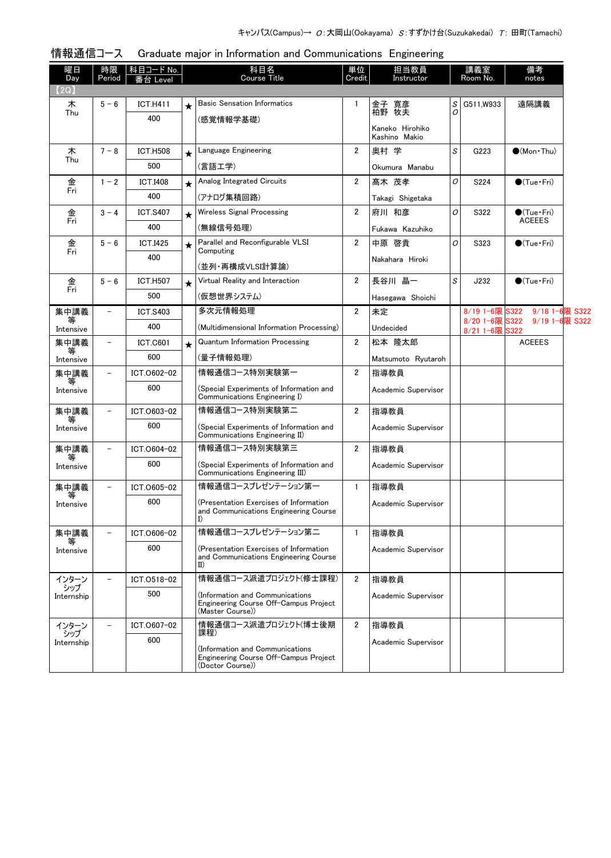| 曜日<br>Day         | 時限<br>Period             | 科目コード No.<br>台 Level |            | 科目名<br><b>Course Title</b>                                                                     | 単位<br>Credit   | 担当教員<br>Instructor               |                                                           | 講義室<br>Room No.             | 備考<br>notes                          |  |
|-------------------|--------------------------|----------------------|------------|------------------------------------------------------------------------------------------------|----------------|----------------------------------|-----------------------------------------------------------|-----------------------------|--------------------------------------|--|
| 【2Q】              |                          |                      |            |                                                                                                |                |                                  |                                                           |                             |                                      |  |
| 木<br>Thu          | $5 - 6$                  | <b>ICT.H411</b>      | $\star$    | <b>Basic Sensation Informatics</b>                                                             | $\mathbf{1}$   | 金子 寛彦<br>柏野 牧夫                   | S<br>0                                                    | G511, W933                  | 遠隔講義                                 |  |
|                   |                          | 400                  |            | (感覚情報学基礎)                                                                                      |                | Kaneko Hirohiko<br>Kashino Makio |                                                           |                             |                                      |  |
| 木                 | $7 - 8$                  | <b>ICT.H508</b>      | $\bigstar$ | Language Engineering                                                                           | $\overline{2}$ | 奥村 学                             | $\mathcal{S}% _{M_{1},M_{2}}^{\alpha,\beta}(\varepsilon)$ | G223                        | $\bigcirc$ (Mon Thu)                 |  |
| Thu               |                          | 500                  |            | (言語工学)                                                                                         |                | Okumura Manabu                   |                                                           |                             |                                      |  |
| 金                 | $1 - 2$                  | <b>ICT.I408</b>      |            | Analog Integrated Circuits                                                                     | $\overline{2}$ | 髙木 茂孝                            | 0                                                         | S224                        | $\bullet$ (Tue•Fri)                  |  |
| Fri               |                          | 400                  |            | (アナログ集積回路)                                                                                     |                | Takagi Shigetaka                 |                                                           |                             |                                      |  |
| 金                 | $3 - 4$                  | <b>ICT.S407</b>      | $\star$    | <b>Wireless Signal Processing</b>                                                              | $\overline{2}$ | 府川 和彦                            | 0                                                         | S322                        | $\bullet$ (Tue•Fri)<br><b>ACEEES</b> |  |
| Fri               |                          | 400                  |            | (無線信号処理)                                                                                       |                | Fukawa Kazuhiko                  |                                                           |                             |                                      |  |
| 金<br>Fri          | $5 - 6$                  | <b>ICT.I425</b>      |            | Parallel and Reconfigurable VLSI<br>Computing                                                  | $\overline{2}$ | 中原 啓貴                            | 0                                                         | S323                        | $\bullet$ (Tue•Fri)                  |  |
|                   |                          | 400                  |            | (並列・再構成VLSI計算論)                                                                                |                | Nakahara Hiroki                  |                                                           |                             |                                      |  |
| 金<br>Fri          | $5 - 6$                  | <b>ICT.H507</b>      | $\star$    | Virtual Reality and Interaction                                                                | $\overline{2}$ | 長谷川 晶一                           | $\mathcal{S}% _{M_{1},M_{2}}^{\alpha,\beta}(\varepsilon)$ | J232                        | $\bigcirc$ (Tue · Fri)               |  |
|                   |                          | 500                  |            | (仮想世界システム)                                                                                     |                | Hasegawa Shoichi                 |                                                           |                             |                                      |  |
| 集中講義              | $\overline{\phantom{0}}$ | <b>ICT.S403</b>      |            | 多次元情報処理                                                                                        | $\overline{2}$ | 未定                               |                                                           | 8/19 1-6限 S322              | 9/18 1-6限 S322                       |  |
| 等<br>Intensive    |                          | 400                  |            | (Multidimensional Information Processing)                                                      |                | Undecided                        |                                                           | 8/20 1-6限 S322<br>8/21 1-6限 | 9/19 1-6限 S322<br>S322               |  |
| 集中講義<br>等         | $\overline{\phantom{a}}$ | <b>ICT.C601</b>      | $\star$    | <b>Quantum Information Processing</b>                                                          | $\overline{2}$ | 松本 隆太郎                           |                                                           |                             | <b>ACEEES</b>                        |  |
| Intensive         |                          | 600                  |            | (量子情報処理)                                                                                       |                | Matsumoto Ryutaroh               |                                                           |                             |                                      |  |
| 集中講義<br>等         | $\overline{\phantom{a}}$ | ICT.0602-02          |            | 情報通信コース特別実験第一                                                                                  | $\overline{2}$ | 指導教員                             |                                                           |                             |                                      |  |
| Intensive         |                          | 600                  |            | (Special Experiments of Information and<br>Communications Engineering I)                       |                | Academic Supervisor              |                                                           |                             |                                      |  |
| 集中講義              | $\overline{\phantom{a}}$ | ICT.0603-02          |            | 情報通信コース特別実験第二                                                                                  | $\overline{2}$ | 指導教員                             |                                                           |                             |                                      |  |
| Intensive         |                          | 600                  |            | (Special Experiments of Information and<br>Communications Engineering II)                      |                | Academic Supervisor              |                                                           |                             |                                      |  |
| 集中講義              | $\qquad \qquad -$        | ICT.0604-02          |            | 情報通信コース特別実験第三                                                                                  | $\overline{2}$ | 指導教員                             |                                                           |                             |                                      |  |
| 等<br>Intensive    |                          | 600                  |            | (Special Experiments of Information and<br>Communications Engineering III)                     |                | Academic Supervisor              |                                                           |                             |                                      |  |
| 集中講義              | $\qquad \qquad -$        | ICT.0605-02          |            | 情報通信コースプレゼンテーション第一                                                                             | $\mathbf{1}$   | 指導教員                             |                                                           |                             |                                      |  |
| 等<br>Intensive    |                          | 600                  |            | (Presentation Exercises of Information<br>and Communications Engineering Course<br>I)          |                | Academic Supervisor              |                                                           |                             |                                      |  |
| 集中講義              |                          | ICT.0606-02          |            | 情報通信コースプレゼンテーション第二                                                                             | $\mathbf{1}$   | 指導教員                             |                                                           |                             |                                      |  |
| Intensive         |                          | 600                  |            | (Presentation Exercises of Information<br>and Communications Engineering Course<br>$_{\rm II}$ |                | Academic Supervisor              |                                                           |                             |                                      |  |
| インターン             |                          | ICT.0518-02          |            | 情報通信コース派遣プロジェクト(修士課程)                                                                          | $\overline{2}$ | 指導教員                             |                                                           |                             |                                      |  |
| シップ<br>Internship |                          | 500                  |            | Information and Communications)<br>Engineering Course Off-Campus Project<br>(Master Course))   |                | Academic Supervisor              |                                                           |                             |                                      |  |
| インターン             |                          | ICT.0607-02          |            | 情報通信コース派遣プロジェクト(博士後期<br>課程)                                                                    | $\overline{2}$ | 指導教員                             |                                                           |                             |                                      |  |
| シップ<br>Internship |                          | 600                  |            | Information and Communications)<br>Engineering Course Off-Campus Project<br>(Doctor Course))   |                | Academic Supervisor              |                                                           |                             |                                      |  |

# 情報通信コース Graduate major in Information and Communications Engineering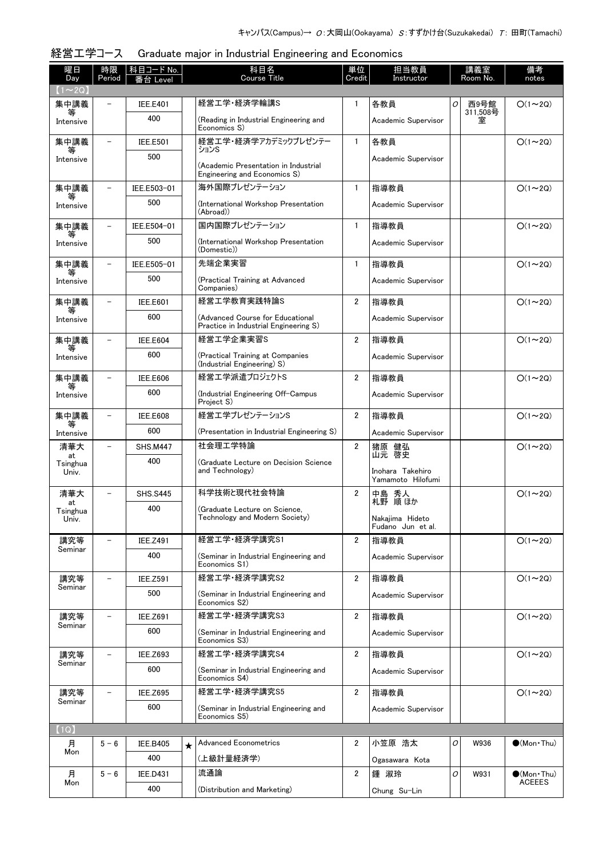| 経営工学コース Graduate major in Industrial Engineering and Economics |  |  |  |  |
|----------------------------------------------------------------|--|--|--|--|
|                                                                |  |  |  |  |

| 曜日<br>Day               | 時限<br>Period             | 科目コード No.<br>番台 Level |         | 科目名<br><b>Course Title</b>                                                                  | 単位<br>Credit   | 担当教員<br>Instructor                    |   | 講義室<br>Room No.  | 備考<br>notes                          |
|-------------------------|--------------------------|-----------------------|---------|---------------------------------------------------------------------------------------------|----------------|---------------------------------------|---|------------------|--------------------------------------|
| $(1\sim 2Q)$            |                          |                       |         |                                                                                             |                |                                       |   |                  |                                      |
| 集中講義<br>等               |                          | <b>IEE.E401</b>       |         | 経営工学·経済学輪講S                                                                                 | 1              | 各教員                                   | 0 | 西9号館<br>311,508号 | $O(1\sim 2Q)$                        |
| Intensive               |                          | 400                   |         | (Reading in Industrial Engineering and<br>Economics S)                                      |                | Academic Supervisor                   |   | 室                |                                      |
| 集中講義<br>等               | $\overline{\phantom{0}}$ | <b>IEE.E501</b>       |         | 経営工学・経済学アカデミックプレゼンテー<br>ションS                                                                | $\mathbf{1}$   | 各教員                                   |   |                  | $O(1\sim 2Q)$                        |
| Intensive               |                          | 500                   |         | Academic Supervisor<br>(Academic Presentation in Industrial<br>Engineering and Economics S) |                |                                       |   |                  |                                      |
| 集中講義                    |                          | IEE.E503-01           |         | 海外国際プレゼンテーション                                                                               | $\mathbf{1}$   | 指導教員                                  |   |                  | $O(1\sim 2Q)$                        |
| Intensive               |                          | 500                   |         | (International Workshop Presentation<br>(Abroad))                                           |                | Academic Supervisor                   |   |                  |                                      |
| 集中講義                    |                          | IEE.E504-01           |         | 国内国際プレゼンテーション                                                                               | $\mathbf{1}$   | 指導教員                                  |   |                  | $O(1\sim 2Q)$                        |
| 等<br>Intensive          |                          | 500                   |         | (International Workshop Presentation<br>(Domestic))                                         |                | Academic Supervisor                   |   |                  |                                      |
| 集中講義                    | $\overline{\phantom{0}}$ | IEE.E505-01           |         | 先端企業実習                                                                                      | $\mathbf{1}$   | 指導教員                                  |   |                  | $O(1\sim 2Q)$                        |
| 等<br>Intensive          |                          | 500                   |         | (Practical Training at Advanced<br>Companies)                                               |                | Academic Supervisor                   |   |                  |                                      |
| 集中講義                    | $\overline{\phantom{0}}$ | <b>IEE.E601</b>       |         | 経営工学教育実践特論S                                                                                 | $\overline{2}$ | 指導教員                                  |   |                  | $O(1\sim 2Q)$                        |
| 等<br>Intensive          |                          | 600                   |         | (Advanced Course for Educational<br>Practice in Industrial Engineering S)                   |                | Academic Supervisor                   |   |                  |                                      |
| 集中講義                    |                          | <b>IEE.E604</b>       |         | 経営工学企業実習S                                                                                   | $\overline{2}$ | 指導教員                                  |   |                  | $O(1\sim 2Q)$                        |
| Intensive               |                          | 600                   |         | (Practical Training at Companies<br>(Industrial Engineering) S)                             |                | Academic Supervisor                   |   |                  |                                      |
| 集中講義                    |                          | <b>IEE.E606</b>       |         | 経営エ学派遣プロジェクトS                                                                               | $\overline{2}$ | 指導教員                                  |   |                  | $O(1\sim 2Q)$                        |
| Intensive               |                          | 600                   |         | (Industrial Engineering Off-Campus<br>Project S)                                            |                | Academic Supervisor                   |   |                  |                                      |
| 集中講義<br>等               |                          | <b>IEE.E608</b>       |         | 経営エ学プレゼンテーションS                                                                              | 2              | 指導教員                                  |   |                  | $O(1\sim 2Q)$                        |
| Intensive               |                          | 600                   |         | (Presentation in Industrial Engineering S)                                                  |                | Academic Supervisor                   |   |                  |                                      |
| 清華大                     | $\overline{\phantom{0}}$ | <b>SHS.M447</b>       |         | 社会理工学特論                                                                                     | $\overline{2}$ | 猪原 健弘<br>山元 啓史                        |   |                  | $O(1\sim 2Q)$                        |
| at<br>Tsinghua<br>Univ. |                          | 400                   |         | (Graduate Lecture on Decision Science<br>and Technology)                                    |                | Inohara Takehiro<br>Yamamoto Hilofumi |   |                  |                                      |
| 清華大                     |                          | <b>SHS.S445</b>       |         | 科学技術と現代社会特論                                                                                 | $\overline{2}$ | 中島 秀人                                 |   |                  | $O(1\sim 2Q)$                        |
| at<br>Tsinghua          |                          | 400                   |         | (Graduate Lecture on Science.                                                               |                | 札野 順ほか                                |   |                  |                                      |
| Univ.                   |                          |                       |         | Technology and Modern Society)                                                              |                | Nakajima Hideto<br>Fudano Jun et al.  |   |                  |                                      |
| 講究等<br>Seminar          |                          | <b>IEE.Z491</b>       |         | 経営工学·経済学講究S1                                                                                | $\overline{2}$ | 指導教員                                  |   |                  | $O(1\sim 2Q)$                        |
|                         |                          | 400                   |         | (Seminar in Industrial Engineering and<br>Economics S1)                                     |                | Academic Supervisor                   |   |                  |                                      |
| 講究等<br>Seminar          |                          | <b>IEE.Z591</b>       |         | 経営工学·経済学講究S2                                                                                | 2              | 指導教員                                  |   |                  | $O(1\sim 2Q)$                        |
|                         |                          | 500                   |         | (Seminar in Industrial Engineering and<br>Economics S2)                                     |                | Academic Supervisor                   |   |                  |                                      |
| 講究等<br>Seminar          | $\overline{\phantom{0}}$ | <b>IEE.Z691</b>       |         | 経営工学·経済学講究S3                                                                                | $\overline{2}$ | 指導教員                                  |   |                  | $O(1\sim 2Q)$                        |
|                         |                          | 600                   |         | (Seminar in Industrial Engineering and<br>Economics S3)                                     |                | Academic Supervisor                   |   |                  |                                      |
| 講究等<br>Seminar          |                          | <b>IEE.Z693</b>       |         | 経営工学·経済学講究S4                                                                                | 2              | 指導教員                                  |   |                  | $O(1\sim 2Q)$                        |
|                         |                          | 600                   |         | (Seminar in Industrial Engineering and<br>Economics S4)                                     |                | Academic Supervisor                   |   |                  |                                      |
| 講究等<br>Seminar          |                          | <b>IEE.Z695</b>       |         | 経営工学・経済学講究S5                                                                                | 2              | 指導教員                                  |   |                  | $O(1 \sim 2Q)$                       |
|                         |                          | 600                   |         | (Seminar in Industrial Engineering and<br>Economics S5)                                     |                | Academic Supervisor                   |   |                  |                                      |
| (1Q)                    |                          |                       |         |                                                                                             |                |                                       |   |                  |                                      |
| 月<br>Mon                | $5 - 6$                  | <b>IEE.B405</b>       | $\star$ | <b>Advanced Econometrics</b>                                                                | $\overline{2}$ | 小笠原 浩太                                | 0 | W936             | $\bullet$ (Mon Thu)                  |
|                         |                          | 400                   |         | (上級計量経済学)                                                                                   |                | Ogasawara Kota                        |   |                  |                                      |
| 月<br>Mon                | $5 - 6$                  | <b>IEE.D431</b>       |         | 流通論                                                                                         | 2              | 鍾 淑玲                                  | 0 | W931             | $\bullet$ (Mon Thu)<br><b>ACEEES</b> |
|                         |                          | 400                   |         | (Distribution and Marketing)                                                                |                | Chung Su-Lin                          |   |                  |                                      |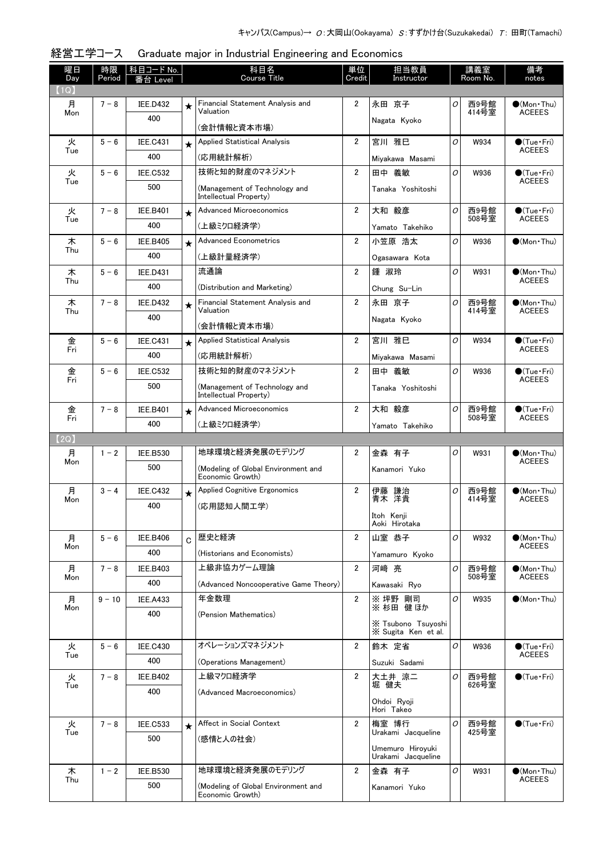| 曜日<br>Day | 時限<br>Period | <b>科目コード No.</b> |             | 科目名<br><b>Course Title</b>                              | 単位<br>Credit   | 担当教員<br>Instructor                        |   | 講義室<br>Room No. | 備考<br>notes                           |
|-----------|--------------|------------------|-------------|---------------------------------------------------------|----------------|-------------------------------------------|---|-----------------|---------------------------------------|
| 【1Q】      |              | を合 Level         |             |                                                         |                |                                           |   |                 |                                       |
| 月         | $7 - 8$      | <b>IEE.D432</b>  | $\star$     | Financial Statement Analysis and<br>Valuation           | 2              | 永田 京子                                     | 0 | 西9号館            | $\bullet$ (Mon Thu)                   |
| Mon       |              | 400              |             | (会計情報と資本市場)                                             |                | Nagata Kyoko                              |   | 414号室           | <b>ACEEES</b>                         |
| 火<br>Tue  | $5 - 6$      | <b>IEE.C431</b>  | $\star$     | <b>Applied Statistical Analysis</b>                     | $\overline{2}$ | 宮川 雅巳                                     | O | W934            | $\bullet$ (Tue•Fri)<br><b>ACEEES</b>  |
|           |              | 400              |             | (応用統計解析)                                                |                | Miyakawa Masami                           |   |                 |                                       |
| 火<br>Tue  | $5 - 6$      | <b>IEE.C532</b>  |             | 技術と知的財産のマネジメント                                          | $\overline{2}$ | 田中 義敏                                     | 0 | W936            | $\bullet$ (Tue•Fri)<br><b>ACEEES</b>  |
|           |              | 500              |             | (Management of Technology and<br>Intellectual Property) |                | Tanaka Yoshitoshi                         |   |                 |                                       |
| 火<br>Tue  | $7 - 8$      | <b>IEE.B401</b>  | $\star$     | <b>Advanced Microeconomics</b>                          | $\overline{2}$ | 大和 毅彦                                     | 0 | 西9号館<br>508号室   | $\bullet$ (Tue•Fri)<br><b>ACEEES</b>  |
|           |              | 400              |             | (上級ミクロ経済学)                                              |                | Yamato Takehiko                           |   |                 |                                       |
| 木<br>Thu  | $5 - 6$      | <b>IEE.B405</b>  | $\star$     | <b>Advanced Econometrics</b>                            | $\overline{2}$ | 小笠原 浩太                                    | O | W936            | $\bigcirc$ (Mon Thu)                  |
|           |              | 400              |             | (上級計量経済学)                                               |                | Ogasawara Kota                            |   |                 |                                       |
| 木<br>Thu  | $5 - 6$      | <b>IEE.D431</b>  |             | 流通論                                                     | 2              | 鍾 淑玲                                      | O | W931            | $\bigcirc$ (Mon Thu)<br><b>ACEEES</b> |
|           |              | 400              |             | (Distribution and Marketing)                            |                | Chung Su-Lin                              |   |                 |                                       |
| 木<br>Thu  | $7 - 8$      | <b>IEE.D432</b>  | $\star$     | Financial Statement Analysis and<br>Valuation           | 2              | 永田 京子                                     | 0 | 西9号館<br>414号室   | $(Mon\cdot Thu)$<br><b>ACEEES</b>     |
|           |              | 400              |             | (会計情報と資本市場)                                             |                | Nagata Kyoko                              |   |                 |                                       |
| 金         | $5 - 6$      | <b>IEE.C431</b>  | $\star$     | <b>Applied Statistical Analysis</b>                     | $\overline{2}$ | 宮川 雅巳                                     | 0 | W934            | $\bigcirc$ (Tue·Fri)                  |
| Fri       |              | 400              |             | (応用統計解析)                                                |                | Mivakawa Masami                           |   |                 | <b>ACEEES</b>                         |
| 金         | $5 - 6$      | <b>IEE.C532</b>  |             | 技術と知的財産のマネジメント                                          | $\overline{2}$ | 田中 義敏                                     | 0 | W936            | $\bullet$ (Tue · Fri)                 |
| Fri       |              | 500              |             | (Management of Technology and<br>Intellectual Property) |                | Tanaka Yoshitoshi                         |   |                 | <b>ACEEES</b>                         |
| 金         | $7 - 8$      | <b>IEE.B401</b>  | $\star$     | <b>Advanced Microeconomics</b>                          | $\overline{2}$ | 大和 毅彦                                     | 0 | 西9号館            | $\bullet$ (Tue · Fri)                 |
| Fri       |              | 400              |             | (上級ミクロ経済学)                                              |                | Yamato Takehiko                           |   | 508号室           | <b>ACEEES</b>                         |
| (2Q)      |              |                  |             |                                                         |                |                                           |   |                 |                                       |
| 月<br>Mon  | $1 - 2$      | <b>IEE.B530</b>  |             | 地球環境と経済発展のモデリング                                         | 2              | 金森 有子                                     | O | W931            | $\bullet$ (Mon•Thu)                   |
|           |              |                  |             |                                                         |                |                                           |   |                 |                                       |
|           |              | 500              |             | (Modeling of Global Environment and<br>Economic Growth) |                | Kanamori Yuko                             |   |                 | <b>ACEEES</b>                         |
| 月<br>Mon  | $3 - 4$      | <b>IEE.C432</b>  | $\star$     | <b>Applied Cognitive Ergonomics</b>                     | 2              | 伊藤 謙治<br>青木 洋貴                            | 0 | 西9号館            | $\bigcirc$ (Mon Thu)<br><b>ACEEES</b> |
|           |              | 400              |             | (応用認知人間工学)                                              |                | Itoh Kenji<br>Aoki Hirotaka               |   | 414号室           |                                       |
| 月         | $5 - 6$      | <b>IEE.B406</b>  |             | 歴史と経済                                                   | $\overline{2}$ | 山室 恭子                                     | 0 | W932            | $(Mon\cdot Thu)$                      |
| Mon       |              | 400              | $\mathbf C$ | (Historians and Economists)                             |                | Yamamuro Kyoko                            |   |                 | <b>ACEEES</b>                         |
| 月         | $7 - 8$      | <b>IEE.B403</b>  |             | 上級非協力ゲーム理論                                              | $\overline{2}$ | 河崎 亮                                      | 0 | 西9号館            | $(Mon\cdot Thu)$                      |
| Mon       |              | 400              |             | (Advanced Noncooperative Game Theory)                   |                | Kawasaki Rvo                              |   | 508号室           | <b>ACEEES</b>                         |
| 月         | $9 - 10$     | <b>IEE.A433</b>  |             | 年金数理                                                    | $\overline{2}$ | ※ 坪野 剛司                                   | 0 | W935            | $\bullet$ (Mon Thu)                   |
| Mon       |              | 400              |             | (Pension Mathematics)                                   |                | ※杉田健ほか                                    |   |                 |                                       |
|           |              |                  |             |                                                         |                | X Tsubono Tsuyoshi<br>X Sugita Ken et al. |   |                 |                                       |
| 火         | $5 - 6$      | <b>IEE.C430</b>  |             | オペレーションズマネジメント                                          | $\overline{2}$ | 鈴木 定省                                     | 0 | W936            | $\bullet$ (Tue•Fri)                   |
| Tue       |              | 400              |             | (Operations Management)                                 |                | Suzuki Sadami                             |   |                 | <b>ACEEES</b>                         |
| 火         | $7 - 8$      | <b>IEE.B402</b>  |             | 上級マクロ経済学                                                | 2              | 大土井 涼二                                    | 0 | 西9号館            | $\bigcirc$ (Tue · Fri)                |
| Tue       |              | 400              |             | (Advanced Macroeconomics)                               |                | 堀 健夫                                      |   | 626号室           |                                       |
|           |              |                  |             |                                                         |                | Ohdoi Ryoji<br>Hori Takeo                 |   |                 |                                       |
| 火         | $7 - 8$      | <b>IEE.C533</b>  | $\star$     | Affect in Social Context                                | $\overline{2}$ | 梅室 博行                                     | 0 | 西9号館            | $\bullet$ (Tue · Fri)                 |
| Tue       |              | 500              |             | (感情と人の社会)                                               |                | Urakami Jacqueline                        |   | 425号室           |                                       |
|           |              |                  |             |                                                         |                | Umemuro Hiroyuki<br>Urakami Jacqueline    |   |                 |                                       |
| 木<br>Thu  | $1 - 2$      | <b>IEE.B530</b>  |             | 地球環境と経済発展のモデリング                                         | $\overline{2}$ | 金森 有子                                     | O | W931            | $\bullet$ (Mon Thu)<br><b>ACEEES</b>  |

# 経営工学コース Graduate major in Industrial Engineering and Economics